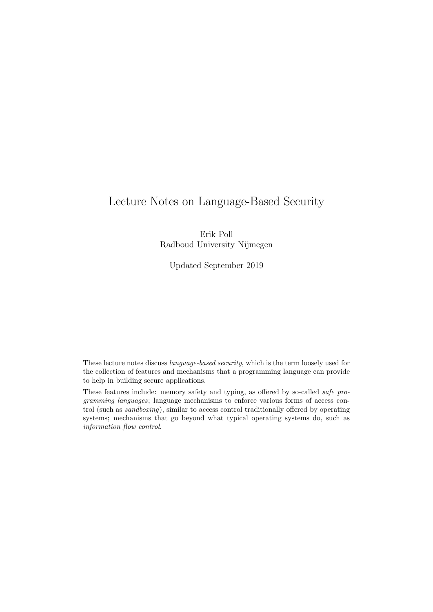# <span id="page-0-0"></span>Lecture Notes on Language-Based Security

Erik Poll Radboud University Nijmegen

Updated September 2019

These lecture notes discuss language-based security, which is the term loosely used for the collection of features and mechanisms that a programming language can provide to help in building secure applications.

These features include: memory safety and typing, as offered by so-called safe programming languages; language mechanisms to enforce various forms of access control (such as sandboxing), similar to access control traditionally offered by operating systems; mechanisms that go beyond what typical operating systems do, such as information flow control.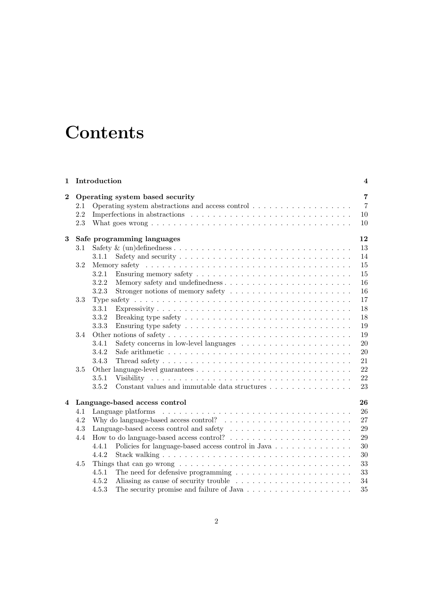# **Contents**

| 1                |                                                   | Introduction<br>$\overline{\mathbf{4}}$                                                                  |                |  |  |  |
|------------------|---------------------------------------------------|----------------------------------------------------------------------------------------------------------|----------------|--|--|--|
| $\boldsymbol{2}$ | $\overline{7}$<br>Operating system based security |                                                                                                          |                |  |  |  |
|                  | 2.1                                               | Operating system abstractions and access control                                                         | $\overline{7}$ |  |  |  |
|                  | 2.2                                               |                                                                                                          | 10             |  |  |  |
|                  | 2.3                                               |                                                                                                          | 10             |  |  |  |
| 3                | 12<br>Safe programming languages                  |                                                                                                          |                |  |  |  |
|                  | 3.1                                               |                                                                                                          | 13             |  |  |  |
|                  |                                                   | 3.1.1                                                                                                    | 14             |  |  |  |
|                  | 3.2                                               |                                                                                                          | 15             |  |  |  |
|                  |                                                   | 3.2.1                                                                                                    | 15             |  |  |  |
|                  |                                                   | 3.2.2                                                                                                    | 16             |  |  |  |
|                  |                                                   | 3.2.3<br>Stronger notions of memory safety $\dots \dots \dots \dots \dots \dots \dots$                   | 16             |  |  |  |
|                  | 3.3                                               |                                                                                                          | 17             |  |  |  |
|                  |                                                   | 3.3.1                                                                                                    | 18             |  |  |  |
|                  |                                                   | 3.3.2                                                                                                    | 18             |  |  |  |
|                  |                                                   | 3.3.3                                                                                                    | 19             |  |  |  |
|                  | 3.4                                               |                                                                                                          | 19             |  |  |  |
|                  |                                                   | 3.4.1                                                                                                    | 20             |  |  |  |
|                  |                                                   | 3.4.2                                                                                                    | 20             |  |  |  |
|                  |                                                   | 3.4.3                                                                                                    | 21             |  |  |  |
|                  | 3.5                                               |                                                                                                          | 22             |  |  |  |
|                  |                                                   | 3.5.1                                                                                                    | 22             |  |  |  |
|                  |                                                   | Constant values and immutable data structures<br>3.5.2                                                   | 23             |  |  |  |
|                  |                                                   | Language-based access control                                                                            | 26             |  |  |  |
| 4                | 4.1                                               |                                                                                                          | 26             |  |  |  |
|                  | 4.2                                               | Why do language-based access control? $\ldots \ldots \ldots \ldots \ldots \ldots \ldots$                 | 27             |  |  |  |
|                  | 4.3                                               |                                                                                                          | 29             |  |  |  |
|                  | 4.4                                               |                                                                                                          | 29             |  |  |  |
|                  |                                                   | Policies for language-based access control in Java<br>4.4.1                                              | 30             |  |  |  |
|                  |                                                   | 4.4.2                                                                                                    | 30             |  |  |  |
|                  |                                                   |                                                                                                          | 33             |  |  |  |
|                  | 4.5                                               | Things that can go wrong $\dots \dots \dots \dots \dots \dots \dots \dots \dots \dots \dots \dots \dots$ | 33             |  |  |  |
|                  |                                                   | The need for defensive programming $\ldots \ldots \ldots \ldots \ldots \ldots \ldots$<br>4.5.1<br>4.5.2  |                |  |  |  |
|                  |                                                   |                                                                                                          | 34<br>35       |  |  |  |
|                  |                                                   | 4.5.3                                                                                                    |                |  |  |  |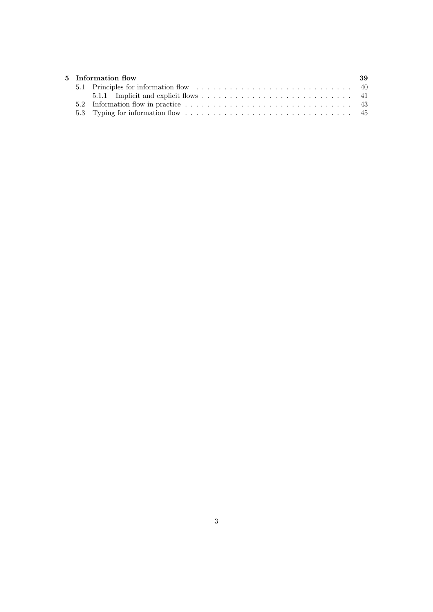|  | 5 Information flow | 39 |
|--|--------------------|----|
|  |                    |    |
|  |                    |    |
|  |                    |    |
|  |                    |    |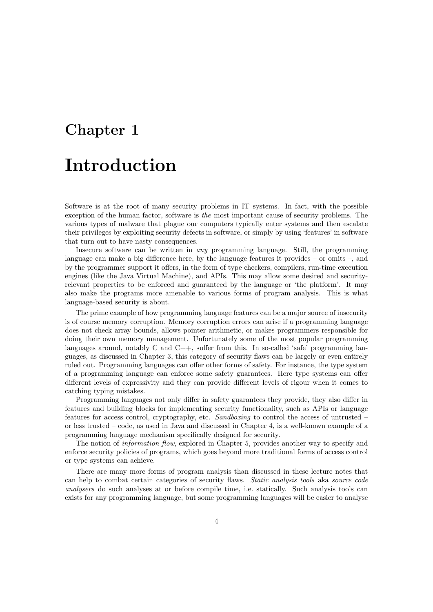# <span id="page-3-0"></span>Chapter 1 Introduction

Software is at the root of many security problems in IT systems. In fact, with the possible exception of the human factor, software is the most important cause of security problems. The various types of malware that plague our computers typically enter systems and then escalate their privileges by exploiting security defects in software, or simply by using 'features' in software that turn out to have nasty consequences.

Insecure software can be written in any programming language. Still, the programming language can make a big difference here, by the language features it provides – or omits –, and by the programmer support it offers, in the form of type checkers, compilers, run-time execution engines (like the Java Virtual Machine), and APIs. This may allow some desired and securityrelevant properties to be enforced and guaranteed by the language or 'the platform'. It may also make the programs more amenable to various forms of program analysis. This is what language-based security is about.

The prime example of how programming language features can be a major source of insecurity is of course memory corruption. Memory corruption errors can arise if a programming language does not check array bounds, allows pointer arithmetic, or makes programmers responsible for doing their own memory management. Unfortunately some of the most popular programming languages around, notably C and  $C_{++}$ , suffer from this. In so-called 'safe' programming languages, as discussed in Chapter [3,](#page-11-0) this category of security flaws can be largely or even entirely ruled out. Programming languages can offer other forms of safety. For instance, the type system of a programming language can enforce some safety guarantees. Here type systems can offer different levels of expressivity and they can provide different levels of rigour when it comes to catching typing mistakes.

Programming languages not only differ in safety guarantees they provide, they also differ in features and building blocks for implementing security functionality, such as APIs or language features for access control, cryptography, etc. Sandboxing to control the access of untrusted – or less trusted – code, as used in Java and discussed in Chapter [4,](#page-25-0) is a well-known example of a programming language mechanism specifically designed for security.

The notion of information flow, explored in Chapter [5,](#page-38-0) provides another way to specify and enforce security policies of programs, which goes beyond more traditional forms of access control or type systems can achieve.

There are many more forms of program analysis than discussed in these lecture notes that can help to combat certain categories of security flaws. Static analysis tools aka source code analysers do such analyses at or before compile time, i.e. statically. Such analysis tools can exists for any programming language, but some programming languages will be easier to analyse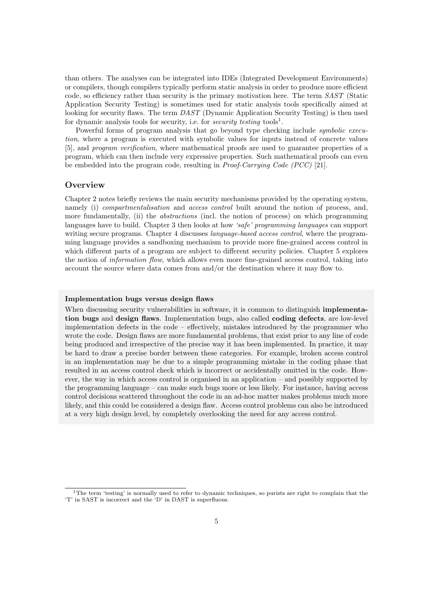than others. The analyses can be integrated into IDEs (Integrated Development Environments) or compilers, though compilers typically perform static analysis in order to produce more efficient code, so efficiency rather than security is the primary motivation here. The term SAST (Static Application Security Testing) is sometimes used for static analysis tools specifically aimed at looking for security flaws. The term DAST (Dynamic Application Security Testing) is then used for dynamic analysis tools for security, i.e. for *security testing* tools<sup>[1](#page-4-0)</sup>.

Powerful forms of program analysis that go beyond type checking include *symbolic execu*tion, where a program is executed with symbolic values for inputs instead of concrete values [\[5\]](#page-49-0), and program verification, where mathematical proofs are used to guarantee properties of a program, which can then include very expressive properties. Such mathematical proofs can even be embedded into the program code, resulting in Proof-Carrying Code (PCC) [\[21\]](#page-50-0).

### **Overview**

Chapter [2](#page-6-0) notes briefly reviews the main security mechanisms provided by the operating system, namely (i) *compartmentalisation* and *access control* built around the notion of process, and, more fundamentally, (ii) the *abstractions* (incl. the notion of process) on which programming languages have to build. Chapter [3](#page-11-0) then looks at how 'safe' programming languages can support writing secure programs. Chapter [4](#page-25-0) discusses *language-based access control*, where the programming language provides a sandboxing mechanism to provide more fine-grained access control in which different parts of a program are subject to different security policies. Chapter [5](#page-38-0) explores the notion of information flow, which allows even more fine-grained access control, taking into account the source where data comes from and/or the destination where it may flow to.

### Implementation bugs versus design flaws

When discussing security vulnerabilities in software, it is common to distinguish **implementa**tion bugs and design flaws. Implementation bugs, also called coding defects, are low-level implementation defects in the code – effectively, mistakes introduced by the programmer who wrote the code. Design flaws are more fundamental problems, that exist prior to any line of code being produced and irrespective of the precise way it has been implemented. In practice, it may be hard to draw a precise border between these categories. For example, broken access control in an implementation may be due to a simple programming mistake in the coding phase that resulted in an access control check which is incorrect or accidentally omitted in the code. However, the way in which access control is organised in an application – and possibly supported by the programming language – can make such bugs more or less likely. For instance, having access control decisions scattered throughout the code in an ad-hoc matter makes problems much more likely, and this could be considered a design flaw. Access control problems can also be introduced at a very high design level, by completely overlooking the need for any access control.

<span id="page-4-0"></span><sup>1</sup>The term 'testing' is normally used to refer to dynamic techniques, so purists are right to complain that the 'T' in SAST is incorrect and the 'D' in DAST is superfluous.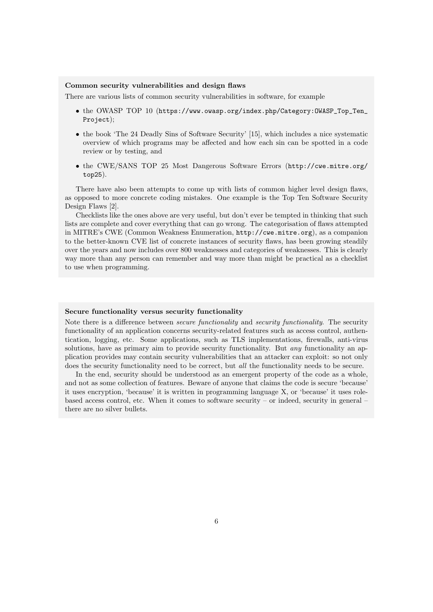### Common security vulnerabilities and design flaws

There are various lists of common security vulnerabilities in software, for example

- the OWASP TOP 10 ([https://www.owasp.org/index.php/Category:OWASP\\_Top\\_Ten\\_](https://www.owasp.org/index.php/Category:OWASP_Top_Ten_Project) [Project](https://www.owasp.org/index.php/Category:OWASP_Top_Ten_Project));
- the book 'The 24 Deadly Sins of Software Security' [\[15\]](#page-49-1), which includes a nice systematic overview of which programs may be affected and how each sin can be spotted in a code review or by testing, and
- the CWE/SANS TOP 25 Most Dangerous Software Errors ([http://cwe.mitre.org/](http://cwe.mitre.org/top25) [top25](http://cwe.mitre.org/top25)).

There have also been attempts to come up with lists of common higher level design flaws, as opposed to more concrete coding mistakes. One example is the Top Ten Software Security Design Flaws [\[2\]](#page-49-2).

Checklists like the ones above are very useful, but don't ever be tempted in thinking that such lists are complete and cover everything that can go wrong. The categorisation of flaws attempted in MITRE's CWE (Common Weakness Enumeration, <http://cwe.mitre.org>), as a companion to the better-known CVE list of concrete instances of security flaws, has been growing steadily over the years and now includes over 800 weaknesses and categories of weaknesses. This is clearly way more than any person can remember and way more than might be practical as a checklist to use when programming.

#### Secure functionality versus security functionality

Note there is a difference between *secure functionality* and *security functionality*. The security functionality of an application concerns security-related features such as access control, authentication, logging, etc. Some applications, such as TLS implementations, firewalls, anti-virus solutions, have as primary aim to provide security functionality. But *any* functionality an application provides may contain security vulnerabilities that an attacker can exploit: so not only does the security functionality need to be correct, but *all* the functionality needs to be secure.

In the end, security should be understood as an emergent property of the code as a whole, and not as some collection of features. Beware of anyone that claims the code is secure 'because' it uses encryption, 'because' it is written in programming language X, or 'because' it uses rolebased access control, etc. When it comes to software security – or indeed, security in general – there are no silver bullets.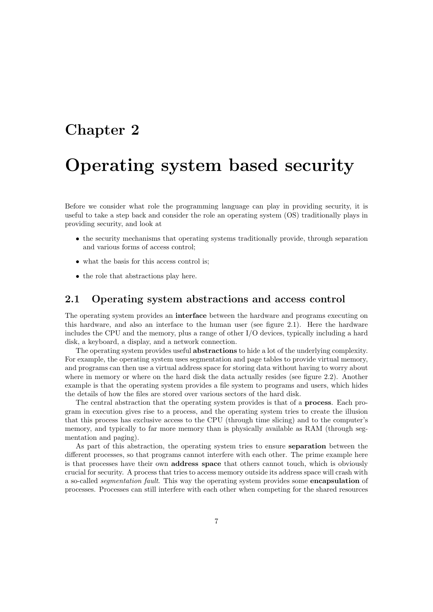# <span id="page-6-0"></span>Chapter 2

# Operating system based security

Before we consider what role the programming language can play in providing security, it is useful to take a step back and consider the role an operating system (OS) traditionally plays in providing security, and look at

- the security mechanisms that operating systems traditionally provide, through separation and various forms of access control;
- what the basis for this access control is:
- the role that abstractions play here.

# <span id="page-6-1"></span>2.1 Operating system abstractions and access control

The operating system provides an interface between the hardware and programs executing on this hardware, and also an interface to the human user (see figure [2.1\)](#page-7-0). Here the hardware includes the CPU and the memory, plus a range of other I/O devices, typically including a hard disk, a keyboard, a display, and a network connection.

The operating system provides useful abstractions to hide a lot of the underlying complexity. For example, the operating system uses segmentation and page tables to provide virtual memory, and programs can then use a virtual address space for storing data without having to worry about where in memory or where on the hard disk the data actually resides (see figure [2.2\)](#page-7-1). Another example is that the operating system provides a file system to programs and users, which hides the details of how the files are stored over various sectors of the hard disk.

The central abstraction that the operating system provides is that of a process. Each program in execution gives rise to a process, and the operating system tries to create the illusion that this process has exclusive access to the CPU (through time slicing) and to the computer's memory, and typically to far more memory than is physically available as RAM (through segmentation and paging).

As part of this abstraction, the operating system tries to ensure separation between the different processes, so that programs cannot interfere with each other. The prime example here is that processes have their own address space that others cannot touch, which is obviously crucial for security. A process that tries to access memory outside its address space will crash with a so-called segmentation fault. This way the operating system provides some encapsulation of processes. Processes can still interfere with each other when competing for the shared resources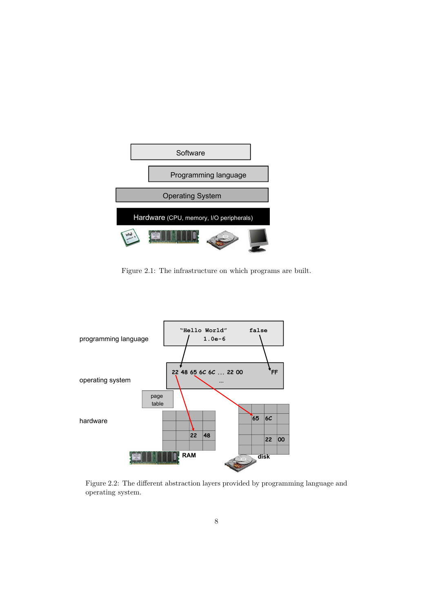<span id="page-7-0"></span>

Figure 2.1: The infrastructure on which programs are built.

<span id="page-7-1"></span>

Figure 2.2: The different abstraction layers provided by programming language and operating system.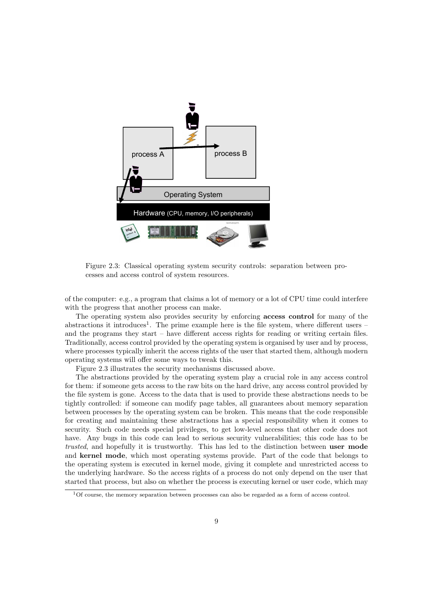<span id="page-8-1"></span>

Figure 2.3: Classical operating system security controls: separation between processes and access control of system resources.

of the computer: e.g., a program that claims a lot of memory or a lot of CPU time could interfere with the progress that another process can make.

The operating system also provides security by enforcing **access control** for many of the abstractions it introduces<sup>[1](#page-8-0)</sup>. The prime example here is the file system, where different users  $$ and the programs they start – have different access rights for reading or writing certain files. Traditionally, access control provided by the operating system is organised by user and by process, where processes typically inherit the access rights of the user that started them, although modern operating systems will offer some ways to tweak this.

Figure [2.3](#page-8-1) illustrates the security mechanisms discussed above.

The abstractions provided by the operating system play a crucial role in any access control for them: if someone gets access to the raw bits on the hard drive, any access control provided by the file system is gone. Access to the data that is used to provide these abstractions needs to be tightly controlled: if someone can modify page tables, all guarantees about memory separation between processes by the operating system can be broken. This means that the code responsible for creating and maintaining these abstractions has a special responsibility when it comes to security. Such code needs special privileges, to get low-level access that other code does not have. Any bugs in this code can lead to serious security vulnerabilities; this code has to be trusted, and hopefully it is trustworthy. This has led to the distinction between user mode and kernel mode, which most operating systems provide. Part of the code that belongs to the operating system is executed in kernel mode, giving it complete and unrestricted access to the underlying hardware. So the access rights of a process do not only depend on the user that started that process, but also on whether the process is executing kernel or user code, which may

<span id="page-8-0"></span> $10f$  course, the memory separation between processes can also be regarded as a form of access control.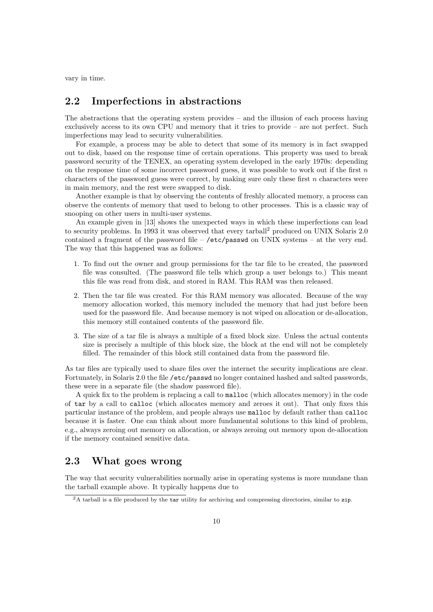vary in time.

### <span id="page-9-0"></span>2.2 Imperfections in abstractions

The abstractions that the operating system provides – and the illusion of each process having exclusively access to its own CPU and memory that it tries to provide – are not perfect. Such imperfections may lead to security vulnerabilities.

For example, a process may be able to detect that some of its memory is in fact swapped out to disk, based on the response time of certain operations. This property was used to break password security of the TENEX, an operating system developed in the early 1970s: depending on the response time of some incorrect password guess, it was possible to work out if the first  $n$ characters of the password guess were correct, by making sure only these first n characters were in main memory, and the rest were swapped to disk.

Another example is that by observing the contents of freshly allocated memory, a process can observe the contents of memory that used to belong to other processes. This is a classic way of snooping on other users in multi-user systems.

An example given in [\[13\]](#page-49-3) shows the unexpected ways in which these imperfections can lead to security problems. In 1993 it was observed that every tarball<sup>[2](#page-9-2)</sup> produced on UNIX Solaris 2.0 contained a fragment of the password file – /etc/passwd on UNIX systems – at the very end. The way that this happened was as follows:

- 1. To find out the owner and group permissions for the tar file to be created, the password file was consulted. (The password file tells which group a user belongs to.) This meant this file was read from disk, and stored in RAM. This RAM was then released.
- 2. Then the tar file was created. For this RAM memory was allocated. Because of the way memory allocation worked, this memory included the memory that had just before been used for the password file. And because memory is not wiped on allocation or de-allocation, this memory still contained contents of the password file.
- 3. The size of a tar file is always a multiple of a fixed block size. Unless the actual contents size is precisely a multiple of this block size, the block at the end will not be completely filled. The remainder of this block still contained data from the password file.

As tar files are typically used to share files over the internet the security implications are clear. Fortunately, in Solaris 2.0 the file /etc/passwd no longer contained hashed and salted passwords, these were in a separate file (the shadow password file).

A quick fix to the problem is replacing a call to malloc (which allocates memory) in the code of tar by a call to calloc (which allocates memory and zeroes it out). That only fixes this particular instance of the problem, and people always use malloc by default rather than calloc because it is faster. One can think about more fundamental solutions to this kind of problem, e.g., always zeroing out memory on allocation, or always zeroing out memory upon de-allocation if the memory contained sensitive data.

# <span id="page-9-1"></span>2.3 What goes wrong

The way that security vulnerabilities normally arise in operating systems is more mundane than the tarball example above. It typically happens due to

<span id="page-9-2"></span> $2A$  tarball is a file produced by the tar utility for archiving and compressing directories, similar to zip.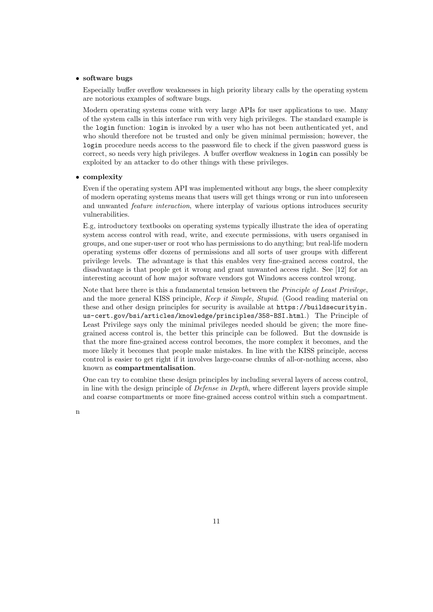### • software bugs

Especially buffer overflow weaknesses in high priority library calls by the operating system are notorious examples of software bugs.

Modern operating systems come with very large APIs for user applications to use. Many of the system calls in this interface run with very high privileges. The standard example is the login function: login is invoked by a user who has not been authenticated yet, and who should therefore not be trusted and only be given minimal permission; however, the login procedure needs access to the password file to check if the given password guess is correct, so needs very high privileges. A buffer overflow weakness in login can possibly be exploited by an attacker to do other things with these privileges.

#### • complexity

Even if the operating system API was implemented without any bugs, the sheer complexity of modern operating systems means that users will get things wrong or run into unforeseen and unwanted *feature interaction*, where interplay of various options introduces security vulnerabilities.

E.g, introductory textbooks on operating systems typically illustrate the idea of operating system access control with read, write, and execute permissions, with users organised in groups, and one super-user or root who has permissions to do anything; but real-life modern operating systems offer dozens of permissions and all sorts of user groups with different privilege levels. The advantage is that this enables very fine-grained access control, the disadvantage is that people get it wrong and grant unwanted access right. See [\[12\]](#page-49-4) for an interesting account of how major software vendors got Windows access control wrong.

Note that here there is this a fundamental tension between the *Principle of Least Privilege*, and the more general KISS principle, Keep it Simple, Stupid. (Good reading material on these and other design principles for security is available at [https://buildsecurityin.](https://buildsecurityin.us-cert.gov/bsi/articles/knowledge/principles/358-BSI.html) [us-cert.gov/bsi/articles/knowledge/principles/358-BSI.html](https://buildsecurityin.us-cert.gov/bsi/articles/knowledge/principles/358-BSI.html).) The Principle of Least Privilege says only the minimal privileges needed should be given; the more finegrained access control is, the better this principle can be followed. But the downside is that the more fine-grained access control becomes, the more complex it becomes, and the more likely it becomes that people make mistakes. In line with the KISS principle, access control is easier to get right if it involves large-coarse chunks of all-or-nothing access, also known as compartmentalisation.

One can try to combine these design principles by including several layers of access control, in line with the design principle of Defense in Depth, where different layers provide simple and coarse compartments or more fine-grained access control within such a compartment.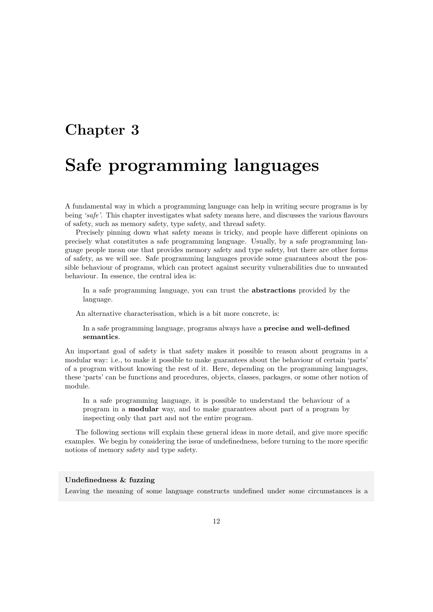# <span id="page-11-0"></span>Chapter 3

# Safe programming languages

A fundamental way in which a programming language can help in writing secure programs is by being 'safe'. This chapter investigates what safety means here, and discusses the various flavours of safety, such as memory safety, type safety, and thread safety.

Precisely pinning down what safety means is tricky, and people have different opinions on precisely what constitutes a safe programming language. Usually, by a safe programming language people mean one that provides memory safety and type safety, but there are other forms of safety, as we will see. Safe programming languages provide some guarantees about the possible behaviour of programs, which can protect against security vulnerabilities due to unwanted behaviour. In essence, the central idea is:

In a safe programming language, you can trust the abstractions provided by the language.

An alternative characterisation, which is a bit more concrete, is:

In a safe programming language, programs always have a precise and well-defined semantics.

An important goal of safety is that safety makes it possible to reason about programs in a modular way: i.e., to make it possible to make guarantees about the behaviour of certain 'parts' of a program without knowing the rest of it. Here, depending on the programming languages, these 'parts' can be functions and procedures, objects, classes, packages, or some other notion of module.

In a safe programming language, it is possible to understand the behaviour of a program in a modular way, and to make guarantees about part of a program by inspecting only that part and not the entire program.

The following sections will explain these general ideas in more detail, and give more specific examples. We begin by considering the issue of undefinedness, before turning to the more specific notions of memory safety and type safety.

### Undefinedness & fuzzing

Leaving the meaning of some language constructs undefined under some circumstances is a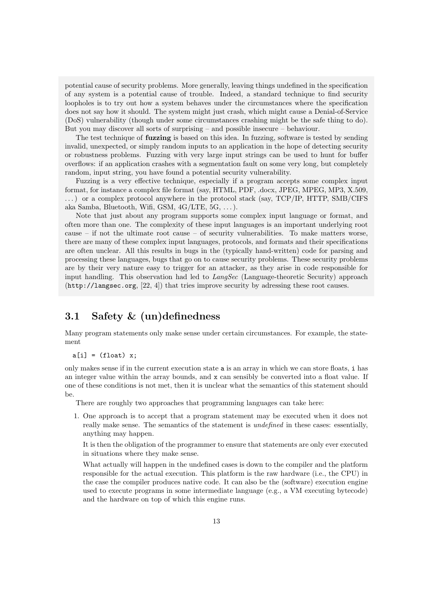potential cause of security problems. More generally, leaving things undefined in the specification of any system is a potential cause of trouble. Indeed, a standard technique to find security loopholes is to try out how a system behaves under the circumstances where the specification does not say how it should. The system might just crash, which might cause a Denial-of-Service (DoS) vulnerability (though under some circumstances crashing might be the safe thing to do). But you may discover all sorts of surprising – and possible insecure – behaviour.

The test technique of **fuzzing** is based on this idea. In fuzzing, software is tested by sending invalid, unexpected, or simply random inputs to an application in the hope of detecting security or robustness problems. Fuzzing with very large input strings can be used to hunt for buffer overflows: if an application crashes with a segmentation fault on some very long, but completely random, input string, you have found a potential security vulnerability.

Fuzzing is a very effective technique, especially if a program accepts some complex input format, for instance a complex file format (say, HTML, PDF, .docx, JPEG, MPEG, MP3, X.509, . . . ) or a complex protocol anywhere in the protocol stack (say, TCP/IP, HTTP, SMB/CIFS aka Samba, Bluetooth, Wifi, GSM, 4G/LTE, 5G, . . . ).

Note that just about any program supports some complex input language or format, and often more than one. The complexity of these input languages is an important underlying root cause – if not the ultimate root cause – of security vulnerabilities. To make matters worse, there are many of these complex input languages, protocols, and formats and their specifications are often unclear. All this results in bugs in the (typically hand-written) code for parsing and processing these languages, bugs that go on to cause security problems. These security problems are by their very nature easy to trigger for an attacker, as they arise in code responsible for input handling. This observation had led to *LangSec* (Language-theoretic Security) approach (<http://langsec.org>, [\[22,](#page-50-1) [4\]](#page-49-5)) that tries improve security by adressing these root causes.

# <span id="page-12-0"></span>3.1 Safety & (un)definedness

Many program statements only make sense under certain circumstances. For example, the statement

 $a[i] = (float) x;$ 

only makes sense if in the current execution state a is an array in which we can store floats, i has an integer value within the array bounds, and  $x$  can sensibly be converted into a float value. If one of these conditions is not met, then it is unclear what the semantics of this statement should be.

There are roughly two approaches that programming languages can take here:

1. One approach is to accept that a program statement may be executed when it does not really make sense. The semantics of the statement is undefined in these cases: essentially, anything may happen.

It is then the obligation of the programmer to ensure that statements are only ever executed in situations where they make sense.

What actually will happen in the undefined cases is down to the compiler and the platform responsible for the actual execution. This platform is the raw hardware (i.e., the CPU) in the case the compiler produces native code. It can also be the (software) execution engine used to execute programs in some intermediate language (e.g., a VM executing bytecode) and the hardware on top of which this engine runs.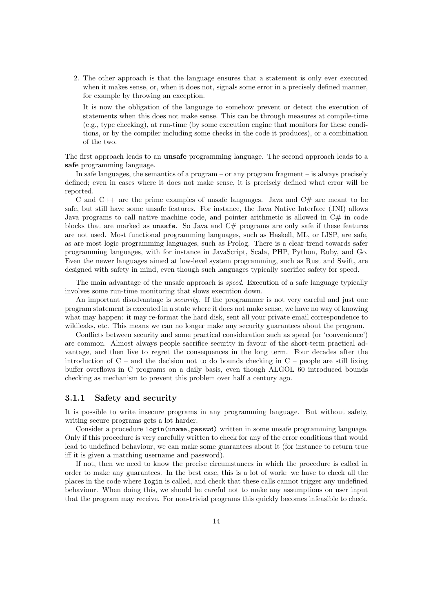2. The other approach is that the language ensures that a statement is only ever executed when it makes sense, or, when it does not, signals some error in a precisely defined manner, for example by throwing an exception.

It is now the obligation of the language to somehow prevent or detect the execution of statements when this does not make sense. This can be through measures at compile-time (e.g., type checking), at run-time (by some execution engine that monitors for these conditions, or by the compiler including some checks in the code it produces), or a combination of the two.

The first approach leads to an unsafe programming language. The second approach leads to a safe programming language.

In safe languages, the semantics of a program – or any program fragment – is always precisely defined; even in cases where it does not make sense, it is precisely defined what error will be reported.

C and  $C_{++}$  are the prime examples of unsafe languages. Java and  $C_{+}$  are meant to be safe, but still have some unsafe features. For instance, the Java Native Interface (JNI) allows Java programs to call native machine code, and pointer arithmetic is allowed in  $C#$  in code blocks that are marked as unsafe. So Java and  $C#$  programs are only safe if these features are not used. Most functional programming languages, such as Haskell, ML, or LISP, are safe, as are most logic programming languages, such as Prolog. There is a clear trend towards safer programming languages, with for instance in JavaScript, Scala, PHP, Python, Ruby, and Go. Even the newer languages aimed at low-level system programming, such as Rust and Swift, are designed with safety in mind, even though such languages typically sacrifice safety for speed.

The main advantage of the unsafe approach is speed. Execution of a safe language typically involves some run-time monitoring that slows execution down.

An important disadvantage is *security*. If the programmer is not very careful and just one program statement is executed in a state where it does not make sense, we have no way of knowing what may happen: it may re-format the hard disk, sent all your private email correspondence to wikileaks, etc. This means we can no longer make any security guarantees about the program.

Conflicts between security and some practical consideration such as speed (or 'convenience') are common. Almost always people sacrifice security in favour of the short-term practical advantage, and then live to regret the consequences in the long term. Four decades after the introduction of  $C$  – and the decision not to do bounds checking in  $C$  – people are still fixing buffer overflows in C programs on a daily basis, even though ALGOL 60 introduced bounds checking as mechanism to prevent this problem over half a century ago.

### <span id="page-13-0"></span>3.1.1 Safety and security

It is possible to write insecure programs in any programming language. But without safety, writing secure programs gets a lot harder.

Consider a procedure login(uname,passwd) written in some unsafe programming language. Only if this procedure is very carefully written to check for any of the error conditions that would lead to undefined behaviour, we can make some guarantees about it (for instance to return true iff it is given a matching username and password).

If not, then we need to know the precise circumstances in which the procedure is called in order to make any guarantees. In the best case, this is a lot of work: we have to check all the places in the code where login is called, and check that these calls cannot trigger any undefined behaviour. When doing this, we should be careful not to make any assumptions on user input that the program may receive. For non-trivial programs this quickly becomes infeasible to check.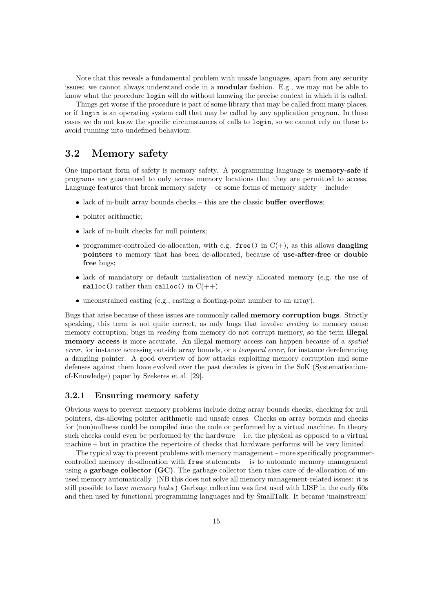Note that this reveals a fundamental problem with unsafe languages, apart from any security issues: we cannot always understand code in a modular fashion. E.g., we may not be able to know what the procedure login will do without knowing the precise context in which it is called.

Things get worse if the procedure is part of some library that may be called from many places, or if login is an operating system call that may be called by any application program. In these cases we do not know the specific circumstances of calls to login, so we cannot rely on these to avoid running into undefined behaviour.

### <span id="page-14-0"></span>3.2 Memory safety

One important form of safety is memory safety. A programming language is memory-safe if programs are guaranteed to only access memory locations that they are permitted to access. Language features that break memory safety – or some forms of memory safety – include

- lack of in-built array bounds checks this are the classic **buffer overflows**;
- pointer arithmetic;
- lack of in-built checks for null pointers:
- programmer-controlled de-allocation, with e.g. free() in  $C(+)$ , as this allows **dangling** pointers to memory that has been de-allocated, because of use-after-free or double free bugs;
- lack of mandatory or default initialisation of newly allocated memory (e.g. the use of malloc() rather than calloc() in  $C(++)$
- unconstrained casting (e.g., casting a floating-point number to an array).

Bugs that arise because of these issues are commonly called memory corruption bugs. Strictly speaking, this term is not quite correct, as only bugs that involve *writing* to memory cause memory corruption; bugs in *reading* from memory do not corrupt memory, so the term **illegal** memory access is more accurate. An illegal memory access can happen because of a *spatial* error, for instance accessing outside array bounds, or a temporal error, for instance dereferencing a dangling pointer. A good overview of how attacks exploiting memory corruption and some defenses against them have evolved over the past decades is given in the SoK (Systematisationof-Knowledge) paper by Szekeres et al. [\[29\]](#page-50-2).

### <span id="page-14-1"></span>3.2.1 Ensuring memory safety

Obvious ways to prevent memory problems include doing array bounds checks, checking for null pointers, dis-allowing pointer arithmetic and unsafe cases. Checks on array bounds and checks for (non)nullness could be compiled into the code or performed by a virtual machine. In theory such checks could even be performed by the hardware  $-$  i.e. the physical as opposed to a virtual machine – but in practice the repertoire of checks that hardware performs will be very limited.

The typical way to prevent problems with memory management – more specifically programmercontrolled memory de-allocation with free statements – is to automate memory management using a **garbage collector (GC)**. The garbage collector then takes care of de-allocation of unused memory automatically. (NB this does not solve all memory management-related issues: it is still possible to have memory leaks.) Garbage collection was first used with LISP in the early 60s and then used by functional programming languages and by SmallTalk. It became 'mainstream'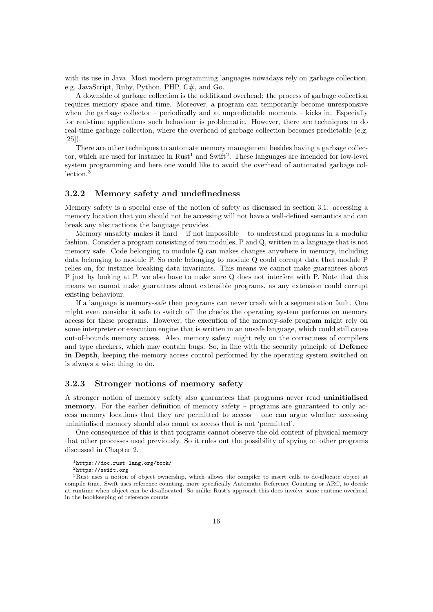with its use in Java. Most modern programming languages nowadays rely on garbage collection, e.g. JavaScript, Ruby, Python, PHP, C#, and Go.

A downside of garbage collection is the additional overhead: the process of garbage collection requires memory space and time. Moreover, a program can temporarily become unresponsive when the garbage collector – periodically and at unpredictable moments – kicks in. Especially for real-time applications such behaviour is problematic. However, there are techniques to do real-time garbage collection, where the overhead of garbage collection becomes predictable (e.g. [\[25\]](#page-50-3)).

There are other techniques to automate memory management besides having a garbage collector, which are used for instance in  $Rust<sup>1</sup>$  $Rust<sup>1</sup>$  $Rust<sup>1</sup>$  and  $Swift<sup>2</sup>$  $Swift<sup>2</sup>$  $Swift<sup>2</sup>$ . These languages are intended for low-level system programming and here one would like to avoid the overhead of automated garbage collection.[3](#page-15-4)

### <span id="page-15-0"></span>3.2.2 Memory safety and undefinedness

Memory safety is a special case of the notion of safety as discussed in section [3.1:](#page-12-0) accessing a memory location that you should not be accessing will not have a well-defined semantics and can break any abstractions the language provides.

Memory unsafety makes it hard  $-$  if not impossible  $-$  to understand programs in a modular fashion. Consider a program consisting of two modules, P and Q, written in a language that is not memory safe. Code belonging to module Q can makes changes anywhere in memory, including data belonging to module P. So code belonging to module Q could corrupt data that module P relies on, for instance breaking data invariants. This means we cannot make guarantees about P just by looking at P, we also have to make sure Q does not interfere with P. Note that this means we cannot make guarantees about extensible programs, as any extension could corrupt existing behaviour.

If a language is memory-safe then programs can never crash with a segmentation fault. One might even consider it safe to switch off the checks the operating system performs on memory access for these programs. However, the execution of the memory-safe program might rely on some interpreter or execution engine that is written in an unsafe language, which could still cause out-of-bounds memory access. Also, memory safety might rely on the correctness of compilers and type checkers, which may contain bugs. So, in line with the security principle of **Defence** in Depth, keeping the memory access control performed by the operating system switched on is always a wise thing to do.

### <span id="page-15-1"></span>3.2.3 Stronger notions of memory safety

A stronger notion of memory safety also guarantees that programs never read uninitialised memory. For the earlier definition of memory safety – programs are guaranteed to only access memory locations that they are permitted to access – one can argue whether accessing uninitialised memory should also count as access that is not 'permitted'.

One consequence of this is that programs cannot observe the old content of physical memory that other processes used previously. So it rules out the possibility of spying on other programs discussed in Chapter [2.](#page-6-0)

<span id="page-15-2"></span><sup>1</sup><https://doc.rust-lang.org/book/>

<span id="page-15-4"></span><span id="page-15-3"></span><sup>2</sup><https://swift.org>

<sup>3</sup>Rust uses a notion of object ownership, which allows the compiler to insert calls to de-allocate object at compile time. Swift uses reference counting, more specifically Automatic Reference Counting or ARC, to decide at runtime when object can be de-allocated. So unlike Rust's approach this does involve some runtime overhead in the bookkeeping of reference counts.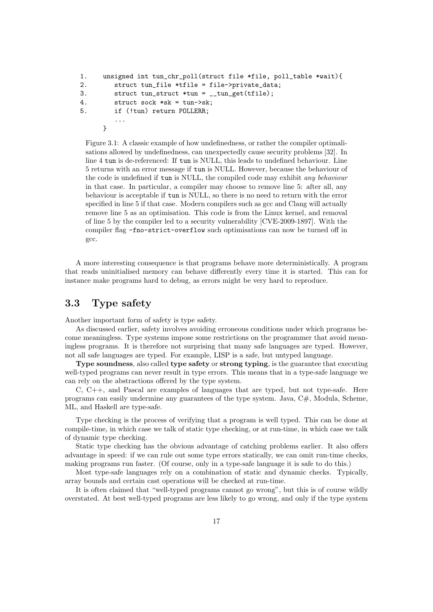```
1. unsigned int tun_chr_poll(struct file *file, poll_table *wait){
2. struct tun_file *tfile = file->private_data;
3. struct tun_struct *tun = __tun_get(tfile);
4. struct sock *sk = tun->sk;
5. if (!tun) return POLLERR;
        ...
     }
```
Figure 3.1: A classic example of how undefinedness, or rather the compiler optimalisations allowed by undefinedness, can unexpectedly cause security problems [\[32\]](#page-50-4). In line 4 tun is de-referenced: If tun is NULL, this leads to undefined behaviour. Line 5 returns with an error message if tun is NULL. However, because the behaviour of the code is undefined if tun is NULL, the compiled code may exhibit any behaviour in that case. In particular, a compiler may choose to remove line 5: after all, any behaviour is acceptable if tun is NULL, so there is no need to return with the error specified in line 5 if that case. Modern compilers such as gcc and Clang will actually remove line 5 as an optimisation. This code is from the Linux kernel, and removal of line 5 by the compiler led to a security vulnerability [CVE-2009-1897]. With the compiler flag -fno-strict-overflow such optimisations can now be turned off in gcc.

A more interesting consequence is that programs behave more deterministically. A program that reads uninitialised memory can behave differently every time it is started. This can for instance make programs hard to debug, as errors might be very hard to reproduce.

### <span id="page-16-0"></span>3.3 Type safety

Another important form of safety is type safety.

As discussed earlier, safety involves avoiding erroneous conditions under which programs become meaningless. Type systems impose some restrictions on the programmer that avoid meaningless programs. It is therefore not surprising that many safe languages are typed. However, not all safe languages are typed. For example, LISP is a safe, but untyped language.

Type soundness, also called type safety or strong typing, is the guarantee that executing well-typed programs can never result in type errors. This means that in a type-safe language we can rely on the abstractions offered by the type system.

C, C++, and Pascal are examples of languages that are typed, but not type-safe. Here programs can easily undermine any guarantees of the type system. Java, C#, Modula, Scheme, ML, and Haskell are type-safe.

Type checking is the process of verifying that a program is well typed. This can be done at compile-time, in which case we talk of static type checking, or at run-time, in which case we talk of dynamic type checking.

Static type checking has the obvious advantage of catching problems earlier. It also offers advantage in speed: if we can rule out some type errors statically, we can omit run-time checks, making programs run faster. (Of course, only in a type-safe language it is safe to do this.)

Most type-safe languages rely on a combination of static and dynamic checks. Typically, array bounds and certain cast operations will be checked at run-time.

It is often claimed that "well-typed programs cannot go wrong", but this is of course wildly overstated. At best well-typed programs are less likely to go wrong, and only if the type system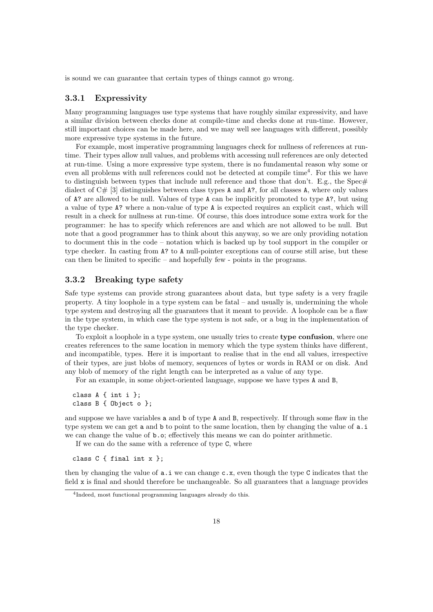is sound we can guarantee that certain types of things cannot go wrong.

### <span id="page-17-0"></span>3.3.1 Expressivity

Many programming languages use type systems that have roughly similar expressivity, and have a similar division between checks done at compile-time and checks done at run-time. However, still important choices can be made here, and we may well see languages with different, possibly more expressive type systems in the future.

For example, most imperative programming languages check for nullness of references at runtime. Their types allow null values, and problems with accessing null references are only detected at run-time. Using a more expressive type system, there is no fundamental reason why some or even all problems with null references could not be detected at compile time<sup>[4](#page-17-2)</sup>. For this we have to distinguish between types that include null reference and those that don't. E.g., the Spec $\#$ dialect of  $C \# [3]$  $C \# [3]$  distinguishes between class types A and A?, for all classes A, where only values of A? are allowed to be null. Values of type A can be implicitly promoted to type A?, but using a value of type A? where a non-value of type A is expected requires an explicit cast, which will result in a check for nullness at run-time. Of course, this does introduce some extra work for the programmer: he has to specify which references are and which are not allowed to be null. But note that a good programmer has to think about this anyway, so we are only providing notation to document this in the code – notation which is backed up by tool support in the compiler or type checker. In casting from A? to A null-pointer exceptions can of course still arise, but these can then be limited to specific – and hopefully few - points in the programs.

### <span id="page-17-1"></span>3.3.2 Breaking type safety

Safe type systems can provide strong guarantees about data, but type safety is a very fragile property. A tiny loophole in a type system can be fatal – and usually is, undermining the whole type system and destroying all the guarantees that it meant to provide. A loophole can be a flaw in the type system, in which case the type system is not safe, or a bug in the implementation of the type checker.

To exploit a loophole in a type system, one usually tries to create type confusion, where one creates references to the same location in memory which the type system thinks have different, and incompatible, types. Here it is important to realise that in the end all values, irrespective of their types, are just blobs of memory, sequences of bytes or words in RAM or on disk. And any blob of memory of the right length can be interpreted as a value of any type.

For an example, in some object-oriented language, suppose we have types A and B,

class A { int i }; class B { Object o };

and suppose we have variables a and b of type A and B, respectively. If through some flaw in the type system we can get a and b to point to the same location, then by changing the value of a.i. we can change the value of b.o; effectively this means we can do pointer arithmetic.

If we can do the same with a reference of type C, where

class C { final int x };

then by changing the value of  $a.i$  we can change  $c.x$ , even though the type C indicates that the field x is final and should therefore be unchangeable. So all guarantees that a language provides

<span id="page-17-2"></span><sup>4</sup> Indeed, most functional programming languages already do this.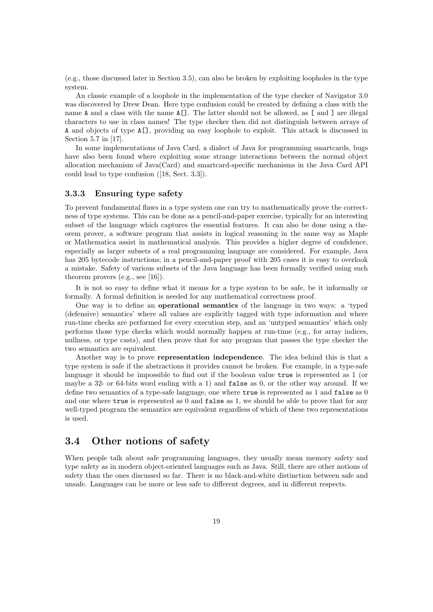(e.g., those discussed later in Section [3.5\)](#page-21-0), can also be broken by exploiting loopholes in the type system.

An classic example of a loophole in the implementation of the type checker of Navigator 3.0 was discovered by Drew Dean. Here type confusion could be created by defining a class with the name A and a class with the name A[]. The latter should not be allowed, as [ and ] are illegal characters to use in class names! The type checker then did not distinguish between arrays of A and objects of type A[], providing an easy loophole to exploit. This attack is discussed in Section 5.7 in [\[17\]](#page-50-5).

In some implementations of Java Card, a dialect of Java for programming smartcards, bugs have also been found where exploiting some strange interactions between the normal object allocation mechanism of Java(Card) and smartcard-specific mechanisms in the Java Card API could lead to type confusion ([\[18,](#page-50-6) Sect. 3.3]).

### <span id="page-18-0"></span>3.3.3 Ensuring type safety

To prevent fundamental flaws in a type system one can try to mathematically prove the correctness of type systems. This can be done as a pencil-and-paper exercise, typically for an interesting subset of the language which captures the essential features. It can also be done using a theorem prover, a software program that assists in logical reasoning in the same way as Maple or Mathematica assist in mathematical analysis. This provides a higher degree of confidence, especially as larger subsets of a real programming language are considered. For example, Java has 205 bytecode instructions; in a pencil-and-paper proof with 205 cases it is easy to overlook a mistake. Safety of various subsets of the Java language has been formally verified using such theorem provers (e.g., see [\[16\]](#page-50-7)).

It is not so easy to define what it means for a type system to be safe, be it informally or formally. A formal definition is needed for any mathematical correctness proof.

One way is to define an operational semantics of the language in two ways: a 'typed (defensive) semantics' where all values are explicitly tagged with type information and where run-time checks are performed for every execution step, and an 'untyped semantics' which only performs those type checks which would normally happen at run-time (e.g., for array indices, nullness, or type casts), and then prove that for any program that passes the type checker the two semantics are equivalent.

Another way is to prove representation independence. The idea behind this is that a type system is safe if the abstractions it provides cannot be broken. For example, in a type-safe language it should be impossible to find out if the boolean value true is represented as 1 (or maybe a 32- or 64-bits word ending with a 1) and false as 0, or the other way around. If we define two semantics of a type-safe language, one where true is represented as 1 and false as 0 and one where true is represented as 0 and false as 1, we should be able to prove that for any well-typed program the semantics are equivalent regardless of which of these two representations is used.

### <span id="page-18-1"></span>3.4 Other notions of safety

When people talk about safe programming languages, they usually mean memory safety and type safety as in modern object-oriented languages such as Java. Still, there are other notions of safety than the ones discussed so far. There is no black-and-white distinction between safe and unsafe. Languages can be more or less safe to different degrees, and in different respects.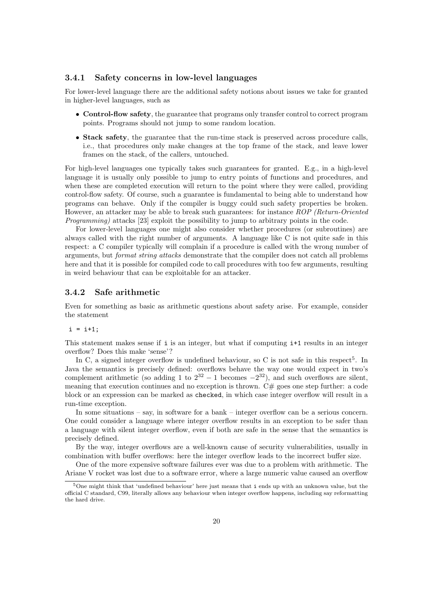### <span id="page-19-0"></span>3.4.1 Safety concerns in low-level languages

For lower-level language there are the additional safety notions about issues we take for granted in higher-level languages, such as

- Control-flow safety, the guarantee that programs only transfer control to correct program points. Programs should not jump to some random location.
- Stack safety, the guarantee that the run-time stack is preserved across procedure calls, i.e., that procedures only make changes at the top frame of the stack, and leave lower frames on the stack, of the callers, untouched.

For high-level languages one typically takes such guarantees for granted. E.g., in a high-level language it is usually only possible to jump to entry points of functions and procedures, and when these are completed execution will return to the point where they were called, providing control-flow safety. Of course, such a guarantee is fundamental to being able to understand how programs can behave. Only if the compiler is buggy could such safety properties be broken. However, an attacker may be able to break such guarantees: for instance ROP (Return-Oriented Programming) attacks [\[23\]](#page-50-8) exploit the possibility to jump to arbitrary points in the code.

For lower-level languages one might also consider whether procedures (or subroutines) are always called with the right number of arguments. A language like C is not quite safe in this respect: a C compiler typically will complain if a procedure is called with the wrong number of arguments, but format string attacks demonstrate that the compiler does not catch all problems here and that it is possible for compiled code to call procedures with too few arguments, resulting in weird behaviour that can be exploitable for an attacker.

### <span id="page-19-1"></span>3.4.2 Safe arithmetic

Even for something as basic as arithmetic questions about safety arise. For example, consider the statement

 $i = i+1;$ 

This statement makes sense if i is an integer, but what if computing i+1 results in an integer overflow? Does this make 'sense'?

In C, a signed integer overflow is undefined behaviour, so C is not safe in this respect<sup>[5](#page-19-2)</sup>. In Java the semantics is precisely defined: overflows behave the way one would expect in two's complement arithmetic (so adding 1 to  $2^{32} - 1$  becomes  $-2^{32}$ ), and such overflows are silent, meaning that execution continues and no exception is thrown.  $C#$  goes one step further: a code block or an expression can be marked as checked, in which case integer overflow will result in a run-time exception.

In some situations – say, in software for a bank – integer overflow can be a serious concern. One could consider a language where integer overflow results in an exception to be safer than a language with silent integer overflow, even if both are safe in the sense that the semantics is precisely defined.

By the way, integer overflows are a well-known cause of security vulnerabilities, usually in combination with buffer overflows: here the integer overflow leads to the incorrect buffer size.

One of the more expensive software failures ever was due to a problem with arithmetic. The Ariane V rocket was lost due to a software error, where a large numeric value caused an overflow

<span id="page-19-2"></span> $5$ One might think that 'undefined behaviour' here just means that i ends up with an unknown value, but the official C standard, C99, literally allows any behaviour when integer overflow happens, including say reformatting the hard drive.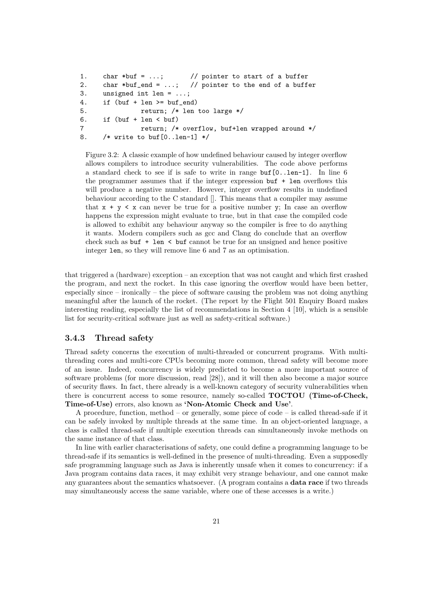```
1. char *buf = \dots; // pointer to start of a buffer
2. char *buf_end = \dots; // pointer to the end of a buffer
3. unsigned int len = ...;
4. if (buf + len >= buf_end)
5. return; /* len too large */
6. if (buf + len < but)7 return; /* overflow, buf+len wrapped around */
8. /* write to buf[0..len-1] */
```
Figure 3.2: A classic example of how undefined behaviour caused by integer overflow allows compilers to introduce security vulnerabilities. The code above performs a standard check to see if is safe to write in range buf[0..len-1]. In line 6 the programmer assumes that if the integer expression buf + len overflows this will produce a negative number. However, integer overflow results in undefined behaviour according to the C standard []. This means that a compiler may assume that  $x + y \leq x$  can never be true for a positive number y; In case an overflow happens the expression might evaluate to true, but in that case the compiled code is allowed to exhibit any behaviour anyway so the compiler is free to do anything it wants. Modern compilers such as gcc and Clang do conclude that an overflow check such as buf  $+$  len  $\lt$  buf cannot be true for an unsigned and hence positive integer len, so they will remove line 6 and 7 as an optimisation.

that triggered a (hardware) exception – an exception that was not caught and which first crashed the program, and next the rocket. In this case ignoring the overflow would have been better, especially since – ironically – the piece of software causing the problem was not doing anything meaningful after the launch of the rocket. (The report by the Flight 501 Enquiry Board makes interesting reading, especially the list of recommendations in Section 4 [\[10\]](#page-49-7), which is a sensible list for security-critical software just as well as safety-critical software.)

### <span id="page-20-0"></span>3.4.3 Thread safety

Thread safety concerns the execution of multi-threaded or concurrent programs. With multithreading cores and multi-core CPUs becoming more common, thread safety will become more of an issue. Indeed, concurrency is widely predicted to become a more important source of software problems (for more discussion, read [\[28\]](#page-50-9)), and it will then also become a major source of security flaws. In fact, there already is a well-known category of security vulnerabilities when there is concurrent access to some resource, namely so-called TOCTOU (Time-of-Check, Time-of-Use) errors, also known as 'Non-Atomic Check and Use'.

A procedure, function, method – or generally, some piece of code – is called thread-safe if it can be safely invoked by multiple threads at the same time. In an object-oriented language, a class is called thread-safe if multiple execution threads can simultaneously invoke methods on the same instance of that class.

In line with earlier characterisations of safety, one could define a programming language to be thread-safe if its semantics is well-defined in the presence of multi-threading. Even a supposedly safe programming language such as Java is inherently unsafe when it comes to concurrency: if a Java program contains data races, it may exhibit very strange behaviour, and one cannot make any guarantees about the semantics whatsoever. (A program contains a data race if two threads may simultaneously access the same variable, where one of these accesses is a write.)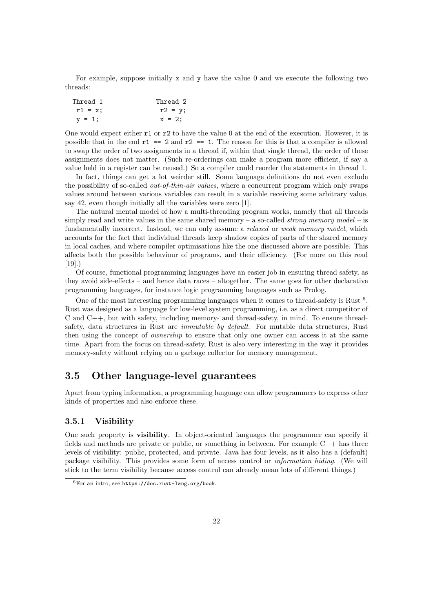For example, suppose initially x and y have the value 0 and we execute the following two threads:

| Thread 1   | Thread 2  |
|------------|-----------|
| $r1 = x$ ; | $r2 = y;$ |
| $v = 1$ ;  | $x = 2$ : |

One would expect either r1 or r2 to have the value 0 at the end of the execution. However, it is possible that in the end  $r1 == 2$  and  $r2 == 1$ . The reason for this is that a compiler is allowed to swap the order of two assignments in a thread if, within that single thread, the order of these assignments does not matter. (Such re-orderings can make a program more efficient, if say a value held in a register can be reused.) So a compiler could reorder the statements in thread 1.

In fact, things can get a lot weirder still. Some language definitions do not even exclude the possibility of so-called *out-of-thin-air values*, where a concurrent program which only swaps values around between various variables can result in a variable receiving some arbitrary value, say 42, even though initially all the variables were zero [\[1\]](#page-49-8).

The natural mental model of how a multi-threading program works, namely that all threads simply read and write values in the same shared memory – a so-called *strong memory model* – is fundamentally incorrect. Instead, we can only assume a *relaxed* or *weak memory model*, which accounts for the fact that individual threads keep shadow copies of parts of the shared memory in local caches, and where compiler optimisations like the one discussed above are possible. This affects both the possible behaviour of programs, and their efficiency. (For more on this read  $[19]$ .)

Of course, functional programming languages have an easier job in ensuring thread safety, as they avoid side-effects – and hence data races – altogether. The same goes for other declarative programming languages, for instance logic programming languages such as Prolog.

One of the most interesting programming languages when it comes to thread-safety is Rust  $6$ . Rust was designed as a language for low-level system programming, i.e. as a direct competitor of C and C++, but with safety, including memory- and thread-safety, in mind. To ensure threadsafety, data structures in Rust are *immutable by default*. For mutable data structures, Rust then using the concept of ownership to ensure that only one owner can access it at the same time. Apart from the focus on thread-safety, Rust is also very interesting in the way it provides memory-safety without relying on a garbage collector for memory management.

## <span id="page-21-0"></span>3.5 Other language-level guarantees

Apart from typing information, a programming language can allow programmers to express other kinds of properties and also enforce these.

### <span id="page-21-1"></span>3.5.1 Visibility

One such property is visibility. In object-oriented languages the programmer can specify if fields and methods are private or public, or something in between. For example  $C_{++}$  has three levels of visibility: public, protected, and private. Java has four levels, as it also has a (default) package visibility. This provides some form of access control or information hiding. (We will stick to the term visibility because access control can already mean lots of different things.)

<span id="page-21-2"></span> $6$ For an intro, see <https://doc.rust-lang.org/book>.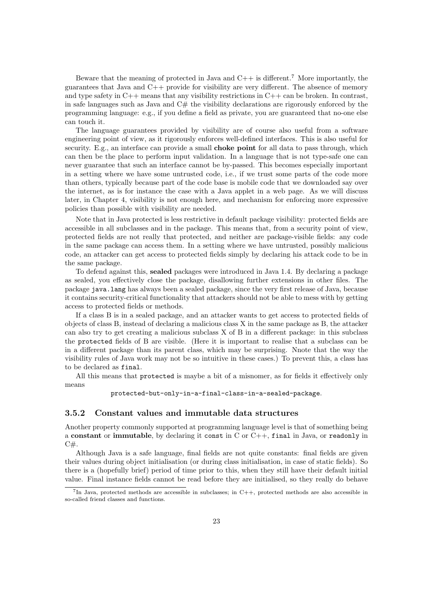Beware that the meaning of protected in Java and  $C++$  is different.<sup>[7](#page-22-1)</sup> More importantly, the guarantees that Java and C++ provide for visibility are very different. The absence of memory and type safety in  $C++$  means that any visibility restrictions in  $C++$  can be broken. In contrast, in safe languages such as Java and  $C#$  the visibility declarations are rigorously enforced by the programming language: e.g., if you define a field as private, you are guaranteed that no-one else can touch it.

The language guarantees provided by visibility are of course also useful from a software engineering point of view, as it rigorously enforces well-defined interfaces. This is also useful for security. E.g., an interface can provide a small **choke point** for all data to pass through, which can then be the place to perform input validation. In a language that is not type-safe one can never guarantee that such an interface cannot be by-passed. This becomes especially important in a setting where we have some untrusted code, i.e., if we trust some parts of the code more than others, typically because part of the code base is mobile code that we downloaded say over the internet, as is for instance the case with a Java applet in a web page. As we will discuss later, in Chapter [4,](#page-25-0) visibility is not enough here, and mechanism for enforcing more expressive policies than possible with visibility are needed.

Note that in Java protected is less restrictive in default package visibility: protected fields are accessible in all subclasses and in the package. This means that, from a security point of view, protected fields are not really that protected, and neither are package-visible fields: any code in the same package can access them. In a setting where we have untrusted, possibly malicious code, an attacker can get access to protected fields simply by declaring his attack code to be in the same package.

To defend against this, sealed packages were introduced in Java 1.4. By declaring a package as sealed, you effectively close the package, disallowing further extensions in other files. The package java.lang has always been a sealed package, since the very first release of Java, because it contains security-critical functionality that attackers should not be able to mess with by getting access to protected fields or methods.

If a class B is in a sealed package, and an attacker wants to get access to protected fields of objects of class B, instead of declaring a malicious class X in the same package as B, the attacker can also try to get creating a malicious subclass X of B in a different package: in this subclass the protected fields of B are visible. (Here it is important to realise that a subclass can be in a different package than its parent class, which may be surprising. Nnote that the way the visibility rules of Java work may not be so intuitive in these cases.) To prevent this, a class has to be declared as final.

All this means that protected is maybe a bit of a misnomer, as for fields it effectively only means

protected-but-only-in-a-final-class-in-a-sealed-package.

### <span id="page-22-0"></span>3.5.2 Constant values and immutable data structures

Another property commonly supported at programming language level is that of something being a constant or immutable, by declaring it const in  $C$  or  $C++$ , final in Java, or readonly in  $C#$ .

Although Java is a safe language, final fields are not quite constants: final fields are given their values during object initialisation (or during class initialisation, in case of static fields). So there is a (hopefully brief) period of time prior to this, when they still have their default initial value. Final instance fields cannot be read before they are initialised, so they really do behave

<span id="page-22-1"></span><sup>&</sup>lt;sup>7</sup>In Java, protected methods are accessible in subclasses; in C++, protected methods are also accessible in so-called friend classes and functions.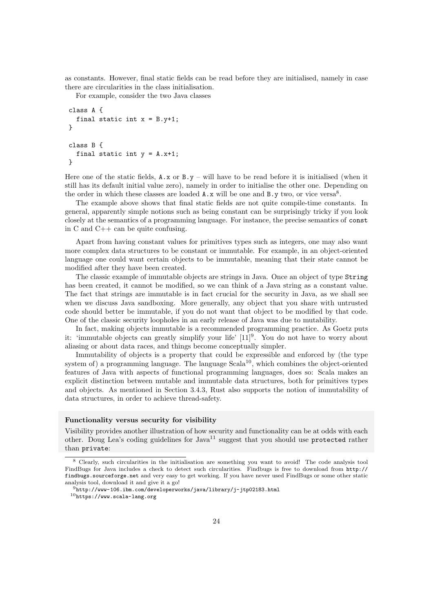as constants. However, final static fields can be read before they are initialised, namely in case there are circularities in the class initialisation.

For example, consider the two Java classes

```
class A {
  final static int x = B.y+1;
}
class B {
  final static int y = A.x+1;
}
```
Here one of the static fields,  $A \cdot x$  or  $B \cdot y$  – will have to be read before it is initialised (when it still has its default initial value zero), namely in order to initialise the other one. Depending on the order in which these classes are loaded  $A.x$  will be one and  $B.y$  two, or vice versa<sup>[8](#page-23-0)</sup>.

The example above shows that final static fields are not quite compile-time constants. In general, apparently simple notions such as being constant can be surprisingly tricky if you look closely at the semantics of a programming language. For instance, the precise semantics of const in C and C++ can be quite confusing.

Apart from having constant values for primitives types such as integers, one may also want more complex data structures to be constant or immutable. For example, in an object-oriented language one could want certain objects to be immutable, meaning that their state cannot be modified after they have been created.

The classic example of immutable objects are strings in Java. Once an object of type String has been created, it cannot be modified, so we can think of a Java string as a constant value. The fact that strings are immutable is in fact crucial for the security in Java, as we shall see when we discuss Java sandboxing. More generally, any object that you share with untrusted code should better be immutable, if you do not want that object to be modified by that code. One of the classic security loopholes in an early release of Java was due to mutability.

In fact, making objects immutable is a recommended programming practice. As Goetz puts it: 'immutable objects can greatly simplify your life' [\[11\]](#page-49-9)<sup>[9](#page-23-1)</sup>. You do not have to worry about aliasing or about data races, and things become conceptually simpler.

Immutability of objects is a property that could be expressible and enforced by (the type system of) a programming language. The language Scala<sup>[10](#page-23-2)</sup>, which combines the object-oriented features of Java with aspects of functional programming languages, does so: Scala makes an explicit distinction between mutable and immutable data structures, both for primitives types and objects. As mentioned in Section [3.4.3,](#page-20-0) Rust also supports the notion of immutability of data structures, in order to achieve thread-safety.

### Functionality versus security for visibility

Visibility provides another illustration of how security and functionality can be at odds with each other. Doug Lea's coding guidelines for Java<sup>[11](#page-0-0)</sup> suggest that you should use protected rather than private:

<span id="page-23-0"></span><sup>8</sup> Clearly, such circularities in the initialisation are something you want to avoid! The code analysis tool FindBugs for Java includes a check to detect such circularities. Findbugs is free to download from [http://](http://findbugs.sourceforge.net) [findbugs.sourceforge.net](http://findbugs.sourceforge.net) and very easy to get working. If you have never used FindBugs or some other static analysis tool, download it and give it a go!

<span id="page-23-2"></span><span id="page-23-1"></span> $^{9}$ <http://www-106.ibm.com/developerworks/java/library/j-jtp02183.html>

<sup>10</sup><https://www.scala-lang.org>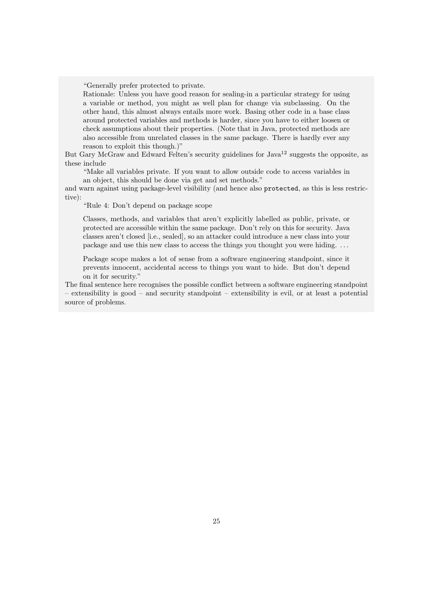"Generally prefer protected to private.

Rationale: Unless you have good reason for sealing-in a particular strategy for using a variable or method, you might as well plan for change via subclassing. On the other hand, this almost always entails more work. Basing other code in a base class around protected variables and methods is harder, since you have to either loosen or check assumptions about their properties. (Note that in Java, protected methods are also accessible from unrelated classes in the same package. There is hardly ever any reason to exploit this though.)"

But Gary McGraw and Edward Felten's security guidelines for Java<sup>[12](#page-0-0)</sup> suggests the opposite, as these include

"Make all variables private. If you want to allow outside code to access variables in an object, this should be done via get and set methods."

and warn against using package-level visibility (and hence also protected, as this is less restrictive):

"Rule 4: Don't depend on package scope

Classes, methods, and variables that aren't explicitly labelled as public, private, or protected are accessible within the same package. Don't rely on this for security. Java classes aren't closed [i.e., sealed], so an attacker could introduce a new class into your package and use this new class to access the things you thought you were hiding. . . .

Package scope makes a lot of sense from a software engineering standpoint, since it prevents innocent, accidental access to things you want to hide. But don't depend on it for security."

The final sentence here recognises the possible conflict between a software engineering standpoint – extensibility is good – and security standpoint – extensibility is evil, or at least a potential source of problems.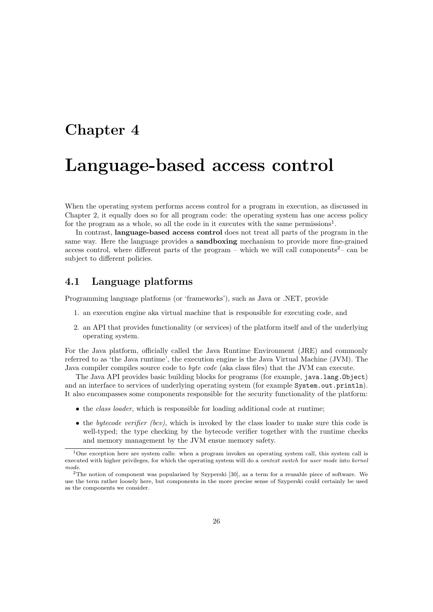# <span id="page-25-0"></span>Chapter 4

# Language-based access control

When the operating system performs access control for a program in execution, as discussed in Chapter [2,](#page-6-0) it equally does so for all program code: the operating system has one access policy for the program as a whole, so all the code in it executes with the same permissions<sup>[1](#page-25-2)</sup>.

In contrast, language-based access control does not treat all parts of the program in the same way. Here the language provides a **sandboxing** mechanism to provide more fine-grained access control, where different parts of the program – which we will call components<sup>[2](#page-25-3)</sup>– can be subject to different policies.

# <span id="page-25-1"></span>4.1 Language platforms

Programming language platforms (or 'frameworks'), such as Java or .NET, provide

- 1. an execution engine aka virtual machine that is responsible for executing code, and
- 2. an API that provides functionality (or services) of the platform itself and of the underlying operating system.

For the Java platform, officially called the Java Runtime Environment (JRE) and commonly referred to as 'the Java runtime', the execution engine is the Java Virtual Machine (JVM). The Java compiler compiles source code to byte code (aka class files) that the JVM can execute.

The Java API provides basic building blocks for programs (for example, java.lang.Object) and an interface to services of underlying operating system (for example System.out.println). It also encompasses some components responsible for the security functionality of the platform:

- the *class loader*, which is responsible for loading additional code at runtime;
- the bytecode verifier (bcv), which is invoked by the class loader to make sure this code is well-typed; the type checking by the bytecode verifier together with the runtime checks and memory management by the JVM ensue memory safety.

<span id="page-25-2"></span><sup>&</sup>lt;sup>1</sup>One exception here are system calls: when a program invokes an operating system call, this system call is executed with higher privileges, for which the operating system will do a context switch for user mode into kernel mode.

<span id="page-25-3"></span><sup>2</sup>The notion of component was popularised by Szyperski [\[30\]](#page-50-11), as a term for a reusable piece of software. We use the term rather loosely here, but components in the more precise sense of Szyperski could certainly be used as the components we consider.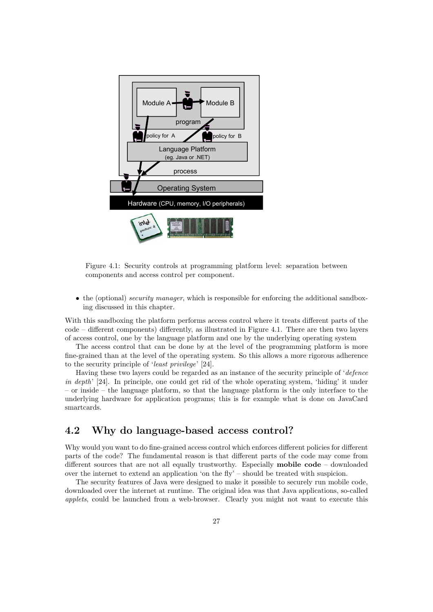<span id="page-26-1"></span>

Figure 4.1: Security controls at programming platform level: separation between components and access control per component.

• the (optional) security manager, which is responsible for enforcing the additional sandboxing discussed in this chapter.

With this sandboxing the platform performs access control where it treats different parts of the code – different components) differently, as illustrated in Figure [4.1.](#page-26-1) There are then two layers of access control, one by the language platform and one by the underlying operating system

The access control that can be done by at the level of the programming platform is more fine-grained than at the level of the operating system. So this allows a more rigorous adherence to the security principle of 'least privilege' [\[24\]](#page-50-12).

Having these two layers could be regarded as an instance of the security principle of 'defence in depth' [\[24\]](#page-50-12). In principle, one could get rid of the whole operating system, 'hiding' it under – or inside – the language platform, so that the language platform is the only interface to the underlying hardware for application programs; this is for example what is done on JavaCard smartcards.

# <span id="page-26-0"></span>4.2 Why do language-based access control?

Why would you want to do fine-grained access control which enforces different policies for different parts of the code? The fundamental reason is that different parts of the code may come from different sources that are not all equally trustworthy. Especially mobile code – downloaded over the internet to extend an application 'on the fly' – should be treated with suspicion.

The security features of Java were designed to make it possible to securely run mobile code, downloaded over the internet at runtime. The original idea was that Java applications, so-called applets, could be launched from a web-browser. Clearly you might not want to execute this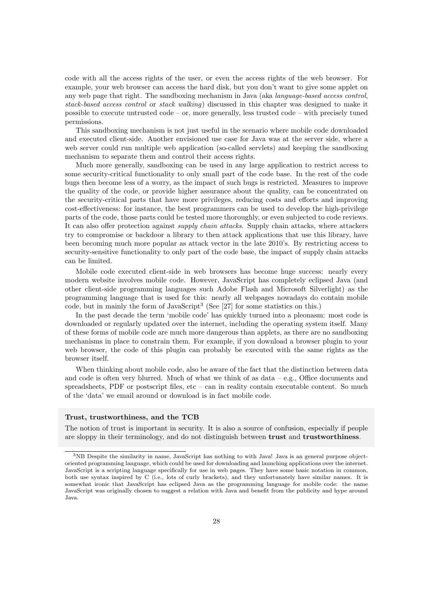code with all the access rights of the user, or even the access rights of the web browser. For example, your web browser can access the hard disk, but you don't want to give some applet on any web page that right. The sandboxing mechanism in Java (aka language-based access control, stack-based access control or stack walking) discussed in this chapter was designed to make it possible to execute untrusted code – or, more generally, less trusted code – with precisely tuned permissions.

This sandboxing mechanism is not just useful in the scenario where mobile code downloaded and executed client-side. Another envisioned use case for Java was at the server side, where a web server could run multiple web application (so-called servlets) and keeping the sandboxing mechanism to separate them and control their access rights.

Much more generally, sandboxing can be used in any large application to restrict access to some security-critical functionality to only small part of the code base. In the rest of the code bugs then become less of a worry, as the impact of such bugs is restricted. Measures to improve the quality of the code, or provide higher assurance about the quality, can be concentrated on the security-critical parts that have more privileges, reducing costs and efforts and improving cost-effectiveness: for instance, the best programmers can be used to develop the high-privilege parts of the code, those parts could be tested more thoroughly, or even subjected to code reviews. It can also offer protection against supply chain attacks. Supply chain attacks, where attackers try to compromise or backdoor a library to then attack applications that use this library, have been becoming much more popular as attack vector in the late 2010's. By restricting access to security-sensitive functionality to only part of the code base, the impact of supply chain attacks can be limited.

Mobile code executed client-side in web browsers has become huge success: nearly every modern website involves mobile code. However, JavaScript has completely eclipsed Java (and other client-side programming languages such Adobe Flash and Microsoft Silverlight) as the programming language that is used for this: nearly all webpages nowadays do contain mobile code, but in mainly the form of JavaScript[3](#page-27-0) (See [\[27\]](#page-50-13) for some statistics on this.)

In the past decade the term 'mobile code' has quickly turned into a pleonasm: most code is downloaded or regularly updated over the internet, including the operating system itself. Many of these forms of mobile code are much more dangerous than applets, as there are no sandboxing mechanisms in place to constrain them. For example, if you download a browser plugin to your web browser, the code of this plugin can probably be executed with the same rights as the browser itself.

When thinking about mobile code, also be aware of the fact that the distinction between data and code is often very blurred. Much of what we think of as  $data - e.g.,$  Office documents and spreadsheets, PDF or postscript files, etc – can in reality contain executable content. So much of the 'data' we email around or download is in fact mobile code.

#### Trust, trustworthiness, and the TCB

The notion of trust is important in security. It is also a source of confusion, especially if people are sloppy in their terminology, and do not distinguish between trust and trustworthiness.

<span id="page-27-0"></span><sup>3</sup>NB Despite the similarity in name, JavaScript has nothing to with Java! Java is an general purpose objectoriented programming language, which could be used for downloading and launching applications over the internet. JavaScript is a scripting language specifically for use in web pages. They have some basic notation in common, both use syntax inspired by C (i.e., lots of curly brackets), and they unfortunately have similar names. It is somewhat ironic that JavaScript has eclipsed Java as the programming language for mobile code: the name JavaScript was originally chosen to suggest a relation with Java and benefit from the publicity and hype around Java.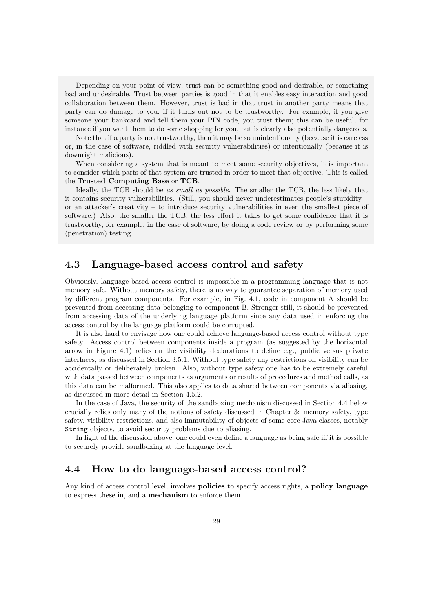Depending on your point of view, trust can be something good and desirable, or something bad and undesirable. Trust between parties is good in that it enables easy interaction and good collaboration between them. However, trust is bad in that trust in another party means that party can do damage to you, if it turns out not to be trustworthy. For example, if you give someone your bankcard and tell them your PIN code, you trust them; this can be useful, for instance if you want them to do some shopping for you, but is clearly also potentially dangerous.

Note that if a party is not trustworthy, then it may be so unintentionally (because it is careless or, in the case of software, riddled with security vulnerabilities) or intentionally (because it is downright malicious).

When considering a system that is meant to meet some security objectives, it is important to consider which parts of that system are trusted in order to meet that objective. This is called the Trusted Computing Base or TCB.

Ideally, the TCB should be as small as possible. The smaller the TCB, the less likely that it contains security vulnerabilities. (Still, you should never underestimates people's stupidity – or an attacker's creativity – to introduce security vulnerabilities in even the smallest piece of software.) Also, the smaller the TCB, the less effort it takes to get some confidence that it is trustworthy, for example, in the case of software, by doing a code review or by performing some (penetration) testing.

### <span id="page-28-0"></span>4.3 Language-based access control and safety

Obviously, language-based access control is impossible in a programming language that is not memory safe. Without memory safety, there is no way to guarantee separation of memory used by different program components. For example, in Fig. [4.1,](#page-26-1) code in component A should be prevented from accessing data belonging to component B. Stronger still, it should be prevented from accessing data of the underlying language platform since any data used in enforcing the access control by the language platform could be corrupted.

It is also hard to envisage how one could achieve language-based access control without type safety. Access control between components inside a program (as suggested by the horizontal arrow in Figure [4.1\)](#page-26-1) relies on the visibility declarations to define e.g., public versus private interfaces, as discussed in Section [3.5.1.](#page-21-1) Without type safety any restrictions on visibility can be accidentally or deliberately broken. Also, without type safety one has to be extremely careful with data passed between components as arguments or results of procedures and method calls, as this data can be malformed. This also applies to data shared between components via aliasing, as discussed in more detail in Section [4.5.2.](#page-33-0)

In the case of Java, the security of the sandboxing mechanism discussed in Section [4.4](#page-28-1) below crucially relies only many of the notions of safety discussed in Chapter [3:](#page-11-0) memory safety, type safety, visibility restrictions, and also immutability of objects of some core Java classes, notably String objects, to avoid security problems due to aliasing.

In light of the discussion above, one could even define a language as being safe iff it is possible to securely provide sandboxing at the language level.

### <span id="page-28-1"></span>4.4 How to do language-based access control?

Any kind of access control level, involves **policies** to specify access rights, a **policy language** to express these in, and a mechanism to enforce them.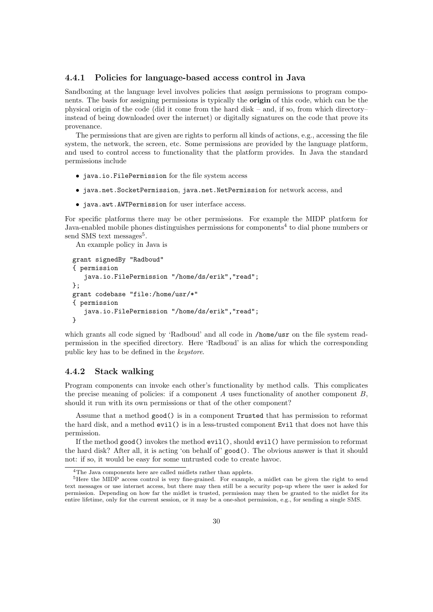### <span id="page-29-0"></span>4.4.1 Policies for language-based access control in Java

Sandboxing at the language level involves policies that assign permissions to program components. The basis for assigning permissions is typically the origin of this code, which can be the physical origin of the code (did it come from the hard disk – and, if so, from which directory– instead of being downloaded over the internet) or digitally signatures on the code that prove its provenance.

The permissions that are given are rights to perform all kinds of actions, e.g., accessing the file system, the network, the screen, etc. Some permissions are provided by the language platform, and used to control access to functionality that the platform provides. In Java the standard permissions include

- java.io.FilePermission for the file system access
- java.net.SocketPermission, java.net.NetPermission for network access, and
- java.awt.AWTPermission for user interface access.

For specific platforms there may be other permissions. For example the MIDP platform for Java-enabled mobile phones distinguishes permissions for components<sup>[4](#page-29-2)</sup> to dial phone numbers or send SMS text messages<sup>[5](#page-29-3)</sup>.

An example policy in Java is

```
grant signedBy "Radboud"
{ permission
   java.io.FilePermission "/home/ds/erik","read";
};
grant codebase "file:/home/usr/*"
{ permission
   java.io.FilePermission "/home/ds/erik","read";
}
```
which grants all code signed by 'Radboud' and all code in /home/usr on the file system readpermission in the specified directory. Here 'Radboud' is an alias for which the corresponding public key has to be defined in the keystore.

### <span id="page-29-1"></span>4.4.2 Stack walking

Program components can invoke each other's functionality by method calls. This complicates the precise meaning of policies: if a component  $A$  uses functionality of another component  $B$ , should it run with its own permissions or that of the other component?

Assume that a method good() is in a component Trusted that has permission to reformat the hard disk, and a method evil() is in a less-trusted component Evil that does not have this permission.

If the method good() invokes the method evil(), should evil() have permission to reformat the hard disk? After all, it is acting 'on behalf of' good(). The obvious answer is that it should not: if so, it would be easy for some untrusted code to create havoc.

<span id="page-29-3"></span><span id="page-29-2"></span><sup>4</sup>The Java components here are called midlets rather than applets.

<sup>&</sup>lt;sup>5</sup>Here the MIDP access control is very fine-grained. For example, a midlet can be given the right to send text messages or use internet access, but there may then still be a security pop-up where the user is asked for permission. Depending on how far the midlet is trusted, permission may then be granted to the midlet for its entire lifetime, only for the current session, or it may be a one-shot permission, e.g., for sending a single SMS.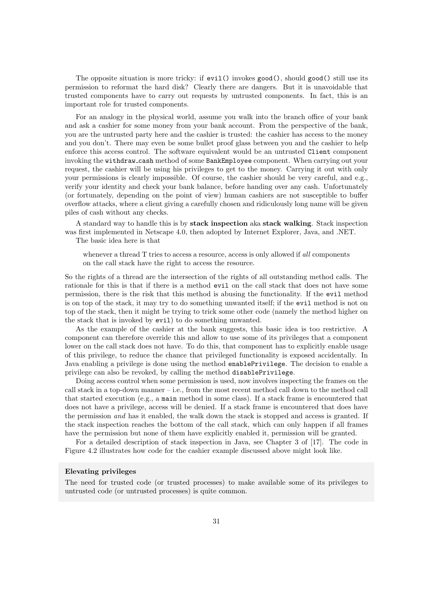The opposite situation is more tricky: if evil() invokes good(), should good() still use its permission to reformat the hard disk? Clearly there are dangers. But it is unavoidable that trusted components have to carry out requests by untrusted components. In fact, this is an important role for trusted components.

For an analogy in the physical world, assume you walk into the branch office of your bank and ask a cashier for some money from your bank account. From the perspective of the bank, you are the untrusted party here and the cashier is trusted: the cashier has access to the money and you don't. There may even be some bullet proof glass between you and the cashier to help enforce this access control. The software equivalent would be an untrusted Client component invoking the withdraw cash method of some BankEmployee component. When carrying out your request, the cashier will be using his privileges to get to the money. Carrying it out with only your permissions is clearly impossible. Of course, the cashier should be very careful, and e.g., verify your identity and check your bank balance, before handing over any cash. Unfortunately (or fortunately, depending on the point of view) human cashiers are not susceptible to buffer overflow attacks, where a client giving a carefully chosen and ridiculously long name will be given piles of cash without any checks.

A standard way to handle this is by stack inspection aka stack walking. Stack inspection was first implemented in Netscape 4.0, then adopted by Internet Explorer, Java, and .NET.

The basic idea here is that

whenever a thread T tries to access a resource, access is only allowed if all components on the call stack have the right to access the resource.

So the rights of a thread are the intersection of the rights of all outstanding method calls. The rationale for this is that if there is a method evil on the call stack that does not have some permission, there is the risk that this method is abusing the functionality. If the evil method is on top of the stack, it may try to do something unwanted itself; if the evil method is not on top of the stack, then it might be trying to trick some other code (namely the method higher on the stack that is invoked by evil) to do something unwanted.

As the example of the cashier at the bank suggests, this basic idea is too restrictive. A component can therefore override this and allow to use some of its privileges that a component lower on the call stack does not have. To do this, that component has to explicitly enable usage of this privilege, to reduce the chance that privileged functionality is exposed accidentally. In Java enabling a privilege is done using the method enablePrivilege. The decision to enable a privilege can also be revoked, by calling the method disablePrivilege.

Doing access control when some permission is used, now involves inspecting the frames on the call stack in a top-down manner – i.e., from the most recent method call down to the method call that started execution (e.g., a main method in some class). If a stack frame is encountered that does not have a privilege, access will be denied. If a stack frame is encountered that does have the permission and has it enabled, the walk down the stack is stopped and access is granted. If the stack inspection reaches the bottom of the call stack, which can only happen if all frames have the permission but none of them have explicitly enabled it, permission will be granted.

For a detailed description of stack inspection in Java, see Chapter 3 of [\[17\]](#page-50-5). The code in Figure [4.2](#page-31-0) illustrates how code for the cashier example discussed above might look like.

### Elevating privileges

The need for trusted code (or trusted processes) to make available some of its privileges to untrusted code (or untrusted processes) is quite common.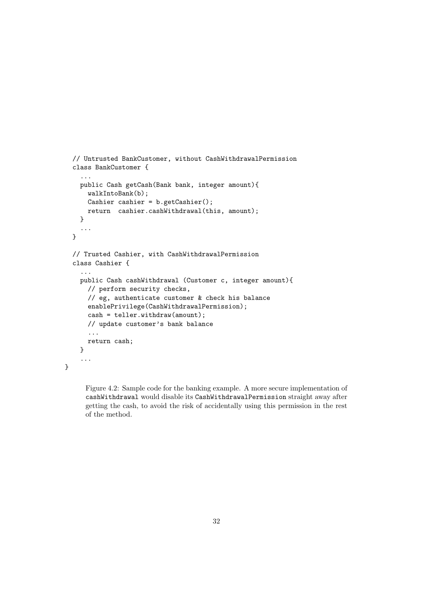```
// Untrusted BankCustomer, without CashWithdrawalPermission
class BankCustomer {
  ...
 public Cash getCash(Bank bank, integer amount){
   walkIntoBank(b);
   Cashier cashier = b.getCashier();
   return cashier.cashWithdrawal(this, amount);
 }
  ...
}
// Trusted Cashier, with CashWithdrawalPermission
class Cashier {
  ...
 public Cash cashWithdrawal (Customer c, integer amount){
   // perform security checks,
   // eg, authenticate customer & check his balance
   enablePrivilege(CashWithdrawalPermission);
   cash = teller.withdraw(amount);
   // update customer's bank balance
    ...
   return cash;
 }
  ...
```
}

Figure 4.2: Sample code for the banking example. A more secure implementation of cashWithdrawal would disable its CashWithdrawalPermission straight away after getting the cash, to avoid the risk of accidentally using this permission in the rest of the method.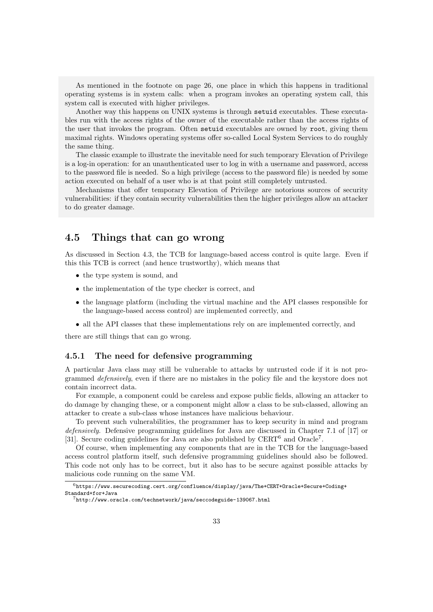As mentioned in the footnote on page [26,](#page-25-0) one place in which this happens in traditional operating systems is in system calls: when a program invokes an operating system call, this system call is executed with higher privileges.

Another way this happens on UNIX systems is through setuid executables. These executables run with the access rights of the owner of the executable rather than the access rights of the user that invokes the program. Often setuid executables are owned by root, giving them maximal rights. Windows operating systems offer so-called Local System Services to do roughly the same thing.

The classic example to illustrate the inevitable need for such temporary Elevation of Privilege is a log-in operation: for an unauthenticated user to log in with a username and password, access to the password file is needed. So a high privilege (access to the password file) is needed by some action executed on behalf of a user who is at that point still completely untrusted.

Mechanisms that offer temporary Elevation of Privilege are notorious sources of security vulnerabilities: if they contain security vulnerabilities then the higher privileges allow an attacker to do greater damage.

## <span id="page-32-0"></span>4.5 Things that can go wrong

As discussed in Section [4.3,](#page-28-0) the TCB for language-based access control is quite large. Even if this this TCB is correct (and hence trustworthy), which means that

- the type system is sound, and
- the implementation of the type checker is correct, and
- the language platform (including the virtual machine and the API classes responsible for the language-based access control) are implemented correctly, and
- all the API classes that these implementations rely on are implemented correctly, and

there are still things that can go wrong.

### <span id="page-32-1"></span>4.5.1 The need for defensive programming

A particular Java class may still be vulnerable to attacks by untrusted code if it is not programmed defensively, even if there are no mistakes in the policy file and the keystore does not contain incorrect data.

For example, a component could be careless and expose public fields, allowing an attacker to do damage by changing these, or a component might allow a class to be sub-classed, allowing an attacker to create a sub-class whose instances have malicious behaviour.

To prevent such vulnerabilities, the programmer has to keep security in mind and program defensively. Defensive programming guidelines for Java are discussed in Chapter 7.1 of [\[17\]](#page-50-5) or [\[31\]](#page-50-14). Secure coding guidelines for Java are also published by CERT<sup>[6](#page-32-2)</sup> and Oracle<sup>[7](#page-32-3)</sup>.

Of course, when implementing any components that are in the TCB for the language-based access control platform itself, such defensive programming guidelines should also be followed. This code not only has to be correct, but it also has to be secure against possible attacks by malicious code running on the same VM.

<span id="page-32-2"></span> $^6$ [https://www.securecoding.cert.org/confluence/display/java/The+CERT+Oracle+Secure+Coding+](https://www.securecoding.cert.org/confluence/display/java/The+CERT+Oracle+Secure+Coding+Standard+for+Java) [Standard+for+Java](https://www.securecoding.cert.org/confluence/display/java/The+CERT+Oracle+Secure+Coding+Standard+for+Java)

<span id="page-32-3"></span><sup>7</sup><http://www.oracle.com/technetwork/java/seccodeguide-139067.html>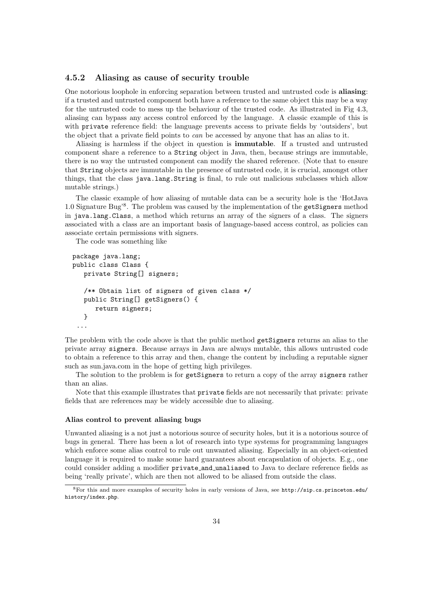### <span id="page-33-0"></span>4.5.2 Aliasing as cause of security trouble

One notorious loophole in enforcing separation between trusted and untrusted code is aliasing: if a trusted and untrusted component both have a reference to the same object this may be a way for the untrusted code to mess up the behaviour of the trusted code. As illustrated in Fig [4.3,](#page-34-1) aliasing can bypass any access control enforced by the language. A classic example of this is with private reference field: the language prevents access to private fields by 'outsiders', but the object that a private field points to can be accessed by anyone that has an alias to it.

Aliasing is harmless if the object in question is immutable. If a trusted and untrusted component share a reference to a String object in Java, then, because strings are immutable, there is no way the untrusted component can modify the shared reference. (Note that to ensure that String objects are immutable in the presence of untrusted code, it is crucial, amongst other things, that the class java.lang.String is final, to rule out malicious subclasses which allow mutable strings.)

The classic example of how aliasing of mutable data can be a security hole is the 'HotJava 1.0 Signature Bug'[8](#page-33-1) . The problem was caused by the implementation of the getSigners method in java.lang.Class, a method which returns an array of the signers of a class. The signers associated with a class are an important basis of language-based access control, as policies can associate certain permissions with signers.

The code was something like

```
package java.lang;
public class Class {
   private String[] signers;
   /** Obtain list of signers of given class */
   public String[] getSigners() {
      return signers;
   }
 ...
```
The problem with the code above is that the public method getSigners returns an alias to the private array signers. Because arrays in Java are always mutable, this allows untrusted code to obtain a reference to this array and then, change the content by including a reputable signer such as sun.java.com in the hope of getting high privileges.

The solution to the problem is for getSigners to return a copy of the array signers rather than an alias.

Note that this example illustrates that private fields are not necessarily that private: private fields that are references may be widely accessible due to aliasing.

#### Alias control to prevent aliasing bugs

Unwanted aliasing is a not just a notorious source of security holes, but it is a notorious source of bugs in general. There has been a lot of research into type systems for programming languages which enforce some alias control to rule out unwanted aliasing. Especially in an object-oriented language it is required to make some hard guarantees about encapsulation of objects. E.g., one could consider adding a modifier private and unaliased to Java to declare reference fields as being 'really private', which are then not allowed to be aliased from outside the class.

<span id="page-33-1"></span><sup>8</sup>For this and more examples of security holes in early versions of Java, see [http://sip.cs.princeton.edu/](http://sip.cs.princeton.edu/history/index.php) [history/index.php](http://sip.cs.princeton.edu/history/index.php).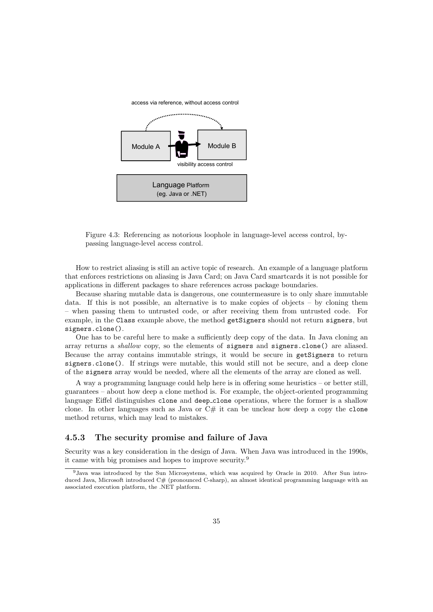<span id="page-34-1"></span>

Figure 4.3: Referencing as notorious loophole in language-level access control, bypassing language-level access control.

How to restrict aliasing is still an active topic of research. An example of a language platform that enforces restrictions on aliasing is Java Card; on Java Card smartcards it is not possible for applications in different packages to share references across package boundaries.

Because sharing mutable data is dangerous, one countermeasure is to only share immutable data. If this is not possible, an alternative is to make copies of objects – by cloning them – when passing them to untrusted code, or after receiving them from untrusted code. For example, in the Class example above, the method getSigners should not return signers, but signers.clone().

One has to be careful here to make a sufficiently deep copy of the data. In Java cloning an array returns a shallow copy, so the elements of signers and signers.clone() are aliased. Because the array contains immutable strings, it would be secure in getSigners to return signers.clone(). If strings were mutable, this would still not be secure, and a deep clone of the signers array would be needed, where all the elements of the array are cloned as well.

A way a programming language could help here is in offering some heuristics – or better still, guarantees – about how deep a clone method is. For example, the object-oriented programming language Eiffel distinguishes clone and deep clone operations, where the former is a shallow clone. In other languages such as Java or  $C#$  it can be unclear how deep a copy the clone method returns, which may lead to mistakes.

### <span id="page-34-0"></span>4.5.3 The security promise and failure of Java

Security was a key consideration in the design of Java. When Java was introduced in the 1990s, it came with big promises and hopes to improve security.[9](#page-34-2)

<span id="page-34-2"></span><sup>9</sup>Java was introduced by the Sun Microsystems, which was acquired by Oracle in 2010. After Sun introduced Java, Microsoft introduced C# (pronounced C-sharp), an almost identical programming language with an associated execution platform, the .NET platform.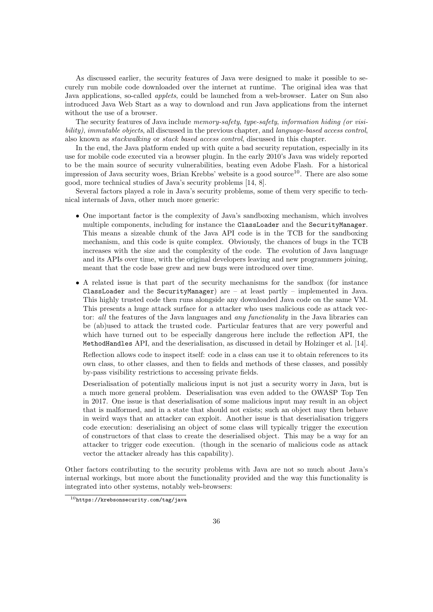As discussed earlier, the security features of Java were designed to make it possible to securely run mobile code downloaded over the internet at runtime. The original idea was that Java applications, so-called *applets*, could be launched from a web-browser. Later on Sun also introduced Java Web Start as a way to download and run Java applications from the internet without the use of a browser.

The security features of Java include memory-safety, type-safety, information hiding (or visibility), immutable objects, all discussed in the previous chapter, and language-based access control, also known as stackwalking or stack based access control, discussed in this chapter.

In the end, the Java platform ended up with quite a bad security reputation, especially in its use for mobile code executed via a browser plugin. In the early 2010's Java was widely reported to be the main source of security vulnerabilities, beating even Adobe Flash. For a historical impression of Java security woes, Brian Krebbs' website is a good source<sup>[10](#page-35-0)</sup>. There are also some good, more technical studies of Java's security problems [\[14,](#page-49-10) [8\]](#page-49-11).

Several factors played a role in Java's security problems, some of them very specific to technical internals of Java, other much more generic:

- One important factor is the complexity of Java's sandboxing mechanism, which involves multiple components, including for instance the ClassLoader and the SecurityManager. This means a sizeable chunk of the Java API code is in the TCB for the sandboxing mechanism, and this code is quite complex. Obviously, the chances of bugs in the TCB increases with the size and the complexity of the code. The evolution of Java language and its APIs over time, with the original developers leaving and new programmers joining, meant that the code base grew and new bugs were introduced over time.
- A related issue is that part of the security mechanisms for the sandbox (for instance ClassLoader and the SecurityManager) are – at least partly – implemented in Java. This highly trusted code then runs alongside any downloaded Java code on the same VM. This presents a huge attack surface for a attacker who uses malicious code as attack vector: all the features of the Java languages and any functionality in the Java libraries can be (ab)used to attack the trusted code. Particular features that are very powerful and which have turned out to be especially dangerous here include the reflection API, the MethodHandles API, and the deserialisation, as discussed in detail by Holzinger et al. [\[14\]](#page-49-10).

Reflection allows code to inspect itself: code in a class can use it to obtain references to its own class, to other classes, and then to fields and methods of these classes, and possibly by-pass visibility restrictions to accessing private fields.

Deserialisation of potentially malicious input is not just a security worry in Java, but is a much more general problem. Deserialisation was even added to the OWASP Top Ten in 2017. One issue is that deserialisation of some malicious input may result in an object that is malformed, and in a state that should not exists; such an object may then behave in weird ways that an attacker can exploit. Another issue is that deserialisation triggers code execution: deserialising an object of some class will typically trigger the execution of constructors of that class to create the deserialised object. This may be a way for an attacker to trigger code execution. (though in the scenario of malicious code as attack vector the attacker already has this capability).

Other factors contributing to the security problems with Java are not so much about Java's internal workings, but more about the functionality provided and the way this functionality is integrated into other systems, notably web-browsers:

<span id="page-35-0"></span> $10$ <https://krebsonsecurity.com/tag/java>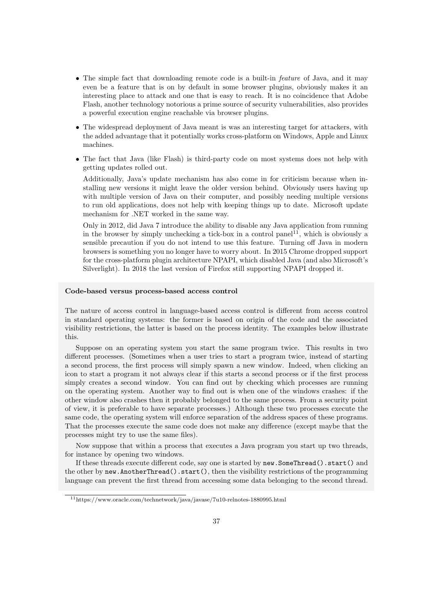- The simple fact that downloading remote code is a built-in *feature* of Java, and it may even be a feature that is on by default in some browser plugins, obviously makes it an interesting place to attack and one that is easy to reach. It is no coincidence that Adobe Flash, another technology notorious a prime source of security vulnerabilities, also provides a powerful execution engine reachable via browser plugins.
- The widespread deployment of Java meant is was an interesting target for attackers, with the added advantage that it potentially works cross-platform on Windows, Apple and Linux machines.
- The fact that Java (like Flash) is third-party code on most systems does not help with getting updates rolled out.

Additionally, Java's update mechanism has also come in for criticism because when installing new versions it might leave the older version behind. Obviously users having up with multiple version of Java on their computer, and possibly needing multiple versions to run old applications, does not help with keeping things up to date. Microsoft update mechanism for .NET worked in the same way.

Only in 2012, did Java 7 introduce the ability to disable any Java application from running in the browser by simply unchecking a tick-box in a control panel<sup>[11](#page-36-0)</sup>, which is obviously a sensible precaution if you do not intend to use this feature. Turning off Java in modern browsers is something you no longer have to worry about. In 2015 Chrome dropped support for the cross-platform plugin architecture NPAPI, which disabled Java (and also Microsoft's Silverlight). In 2018 the last version of Firefox still supporting NPAPI dropped it.

### Code-based versus process-based access control

The nature of access control in language-based access control is different from access control in standard operating systems: the former is based on origin of the code and the associated visibility restrictions, the latter is based on the process identity. The examples below illustrate this.

Suppose on an operating system you start the same program twice. This results in two different processes. (Sometimes when a user tries to start a program twice, instead of starting a second process, the first process will simply spawn a new window. Indeed, when clicking an icon to start a program it not always clear if this starts a second process or if the first process simply creates a second window. You can find out by checking which processes are running on the operating system. Another way to find out is when one of the windows crashes: if the other window also crashes then it probably belonged to the same process. From a security point of view, it is preferable to have separate processes.) Although these two processes execute the same code, the operating system will enforce separation of the address spaces of these programs. That the processes execute the same code does not make any difference (except maybe that the processes might try to use the same files).

Now suppose that within a process that executes a Java program you start up two threads, for instance by opening two windows.

If these threads execute different code, say one is started by new. SomeThread(). start() and the other by new.AnotherThread().start(), then the visibility restrictions of the programming language can prevent the first thread from accessing some data belonging to the second thread.

<span id="page-36-0"></span><sup>11</sup>https://www.oracle.com/technetwork/java/javase/7u10-relnotes-1880995.html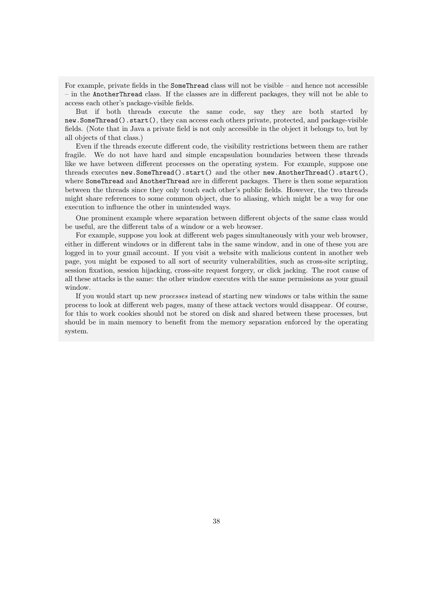For example, private fields in the SomeThread class will not be visible – and hence not accessible – in the AnotherThread class. If the classes are in different packages, they will not be able to access each other's package-visible fields.

But if both threads execute the same code, say they are both started by new.SomeThread().start(), they can access each others private, protected, and package-visible fields. (Note that in Java a private field is not only accessible in the object it belongs to, but by all objects of that class.)

Even if the threads execute different code, the visibility restrictions between them are rather fragile. We do not have hard and simple encapsulation boundaries between these threads like we have between different processes on the operating system. For example, suppose one threads executes new.SomeThread().start() and the other new.AnotherThread().start(), where SomeThread and AnotherThread are in different packages. There is then some separation between the threads since they only touch each other's public fields. However, the two threads might share references to some common object, due to aliasing, which might be a way for one execution to influence the other in unintended ways.

One prominent example where separation between different objects of the same class would be useful, are the different tabs of a window or a web browser.

For example, suppose you look at different web pages simultaneously with your web browser, either in different windows or in different tabs in the same window, and in one of these you are logged in to your gmail account. If you visit a website with malicious content in another web page, you might be exposed to all sort of security vulnerabilities, such as cross-site scripting, session fixation, session hijacking, cross-site request forgery, or click jacking. The root cause of all these attacks is the same: the other window executes with the same permissions as your gmail window.

If you would start up new processes instead of starting new windows or tabs within the same process to look at different web pages, many of these attack vectors would disappear. Of course, for this to work cookies should not be stored on disk and shared between these processes, but should be in main memory to benefit from the memory separation enforced by the operating system.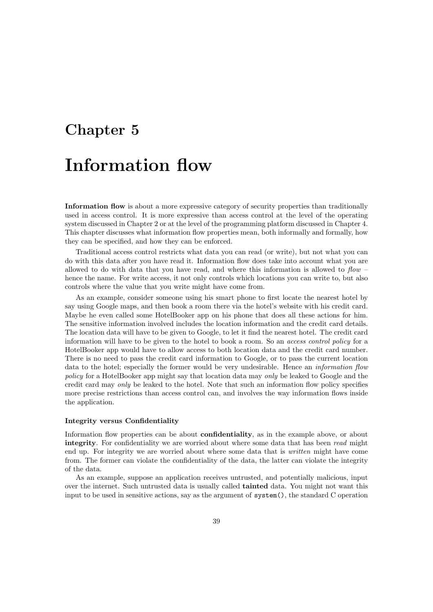# <span id="page-38-0"></span>Chapter 5 Information flow

Information flow is about a more expressive category of security properties than traditionally used in access control. It is more expressive than access control at the level of the operating system discussed in Chapter [2](#page-6-0) or at the level of the programming platform discussed in Chapter [4.](#page-25-0) This chapter discusses what information flow properties mean, both informally and formally, how they can be specified, and how they can be enforced.

Traditional access control restricts what data you can read (or write), but not what you can do with this data after you have read it. Information flow does take into account what you are allowed to do with data that you have read, and where this information is allowed to  $flow$ hence the name. For write access, it not only controls which locations you can write to, but also controls where the value that you write might have come from.

As an example, consider someone using his smart phone to first locate the nearest hotel by say using Google maps, and then book a room there via the hotel's website with his credit card. Maybe he even called some HotelBooker app on his phone that does all these actions for him. The sensitive information involved includes the location information and the credit card details. The location data will have to be given to Google, to let it find the nearest hotel. The credit card information will have to be given to the hotel to book a room. So an access control policy for a HotelBooker app would have to allow access to both location data and the credit card number. There is no need to pass the credit card information to Google, or to pass the current location data to the hotel; especially the former would be very undesirable. Hence an *information flow* policy for a HotelBooker app might say that location data may only be leaked to Google and the credit card may only be leaked to the hotel. Note that such an information flow policy specifies more precise restrictions than access control can, and involves the way information flows inside the application.

### Integrity versus Confidentiality

Information flow properties can be about **confidentiality**, as in the example above, or about integrity. For confidentiality we are worried about where some data that has been read might end up. For integrity we are worried about where some data that is written might have come from. The former can violate the confidentiality of the data, the latter can violate the integrity of the data.

As an example, suppose an application receives untrusted, and potentially malicious, input over the internet. Such untrusted data is usually called tainted data. You might not want this input to be used in sensitive actions, say as the argument of system(), the standard C operation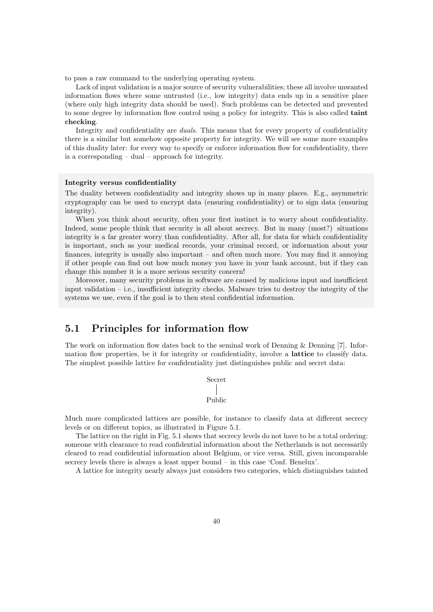to pass a raw command to the underlying operating system.

Lack of input validation is a major source of security vulnerabilities; these all involve unwanted information flows where some untrusted (i.e., low integrity) data ends up in a sensitive place (where only high integrity data should be used). Such problems can be detected and prevented to some degree by information flow control using a policy for integrity. This is also called **taint** checking.

Integrity and confidentiality are duals. This means that for every property of confidentiality there is a similar but somehow opposite property for integrity. We will see some more examples of this duality later: for every way to specify or enforce information flow for confidentiality, there is a corresponding – dual – approach for integrity.

#### Integrity versus confidentiality

The duality between confidentiality and integrity shows up in many places. E.g., asymmetric cryptography can be used to encrypt data (ensuring confidentiality) or to sign data (ensuring integrity).

When you think about security, often your first instinct is to worry about confidentiality. Indeed, some people think that security is all about secrecy. But in many (most?) situations integrity is a far greater worry than confidentiality. After all, for data for which confidentiality is important, such as your medical records, your criminal record, or information about your finances, integrity is usually also important – and often much more. You may find it annoying if other people can find out how much money you have in your bank account, but if they can change this number it is a more serious security concern!

Moreover, many security problems in software are caused by malicious input and insufficient input validation – i.e., insufficient integrity checks. Malware tries to destroy the integrity of the systems we use, even if the goal is to then steal confidential information.

### <span id="page-39-0"></span>5.1 Principles for information flow

The work on information flow dates back to the seminal work of Denning & Denning [\[7\]](#page-49-12). Information flow properties, be it for integrity or confidentiality, involve a **lattice** to classify data. The simplest possible lattice for confidentiality just distinguishes public and secret data:

```
Secret
Public
```
Much more complicated lattices are possible, for instance to classify data at different secrecy levels or on different topics, as illustrated in Figure [5.1.](#page-40-1)

The lattice on the right in Fig. [5.1](#page-40-1) shows that secrecy levels do not have to be a total ordering: someone with clearance to read confidential information about the Netherlands is not necessarily cleared to read confidential information about Belgium, or vice versa. Still, given incomparable secrecy levels there is always a least upper bound – in this case 'Conf. Benelux'.

A lattice for integrity nearly always just considers two categories, which distinguishes tainted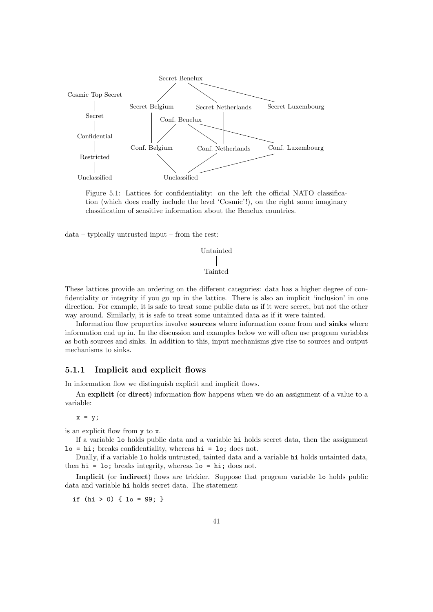<span id="page-40-1"></span>

Figure 5.1: Lattices for confidentiality: on the left the official NATO classification (which does really include the level 'Cosmic'!), on the right some imaginary classification of sensitive information about the Benelux countries.

data – typically untrusted input – from the rest:

```
Untainted
 Tainted
```
These lattices provide an ordering on the different categories: data has a higher degree of confidentiality or integrity if you go up in the lattice. There is also an implicit 'inclusion' in one direction. For example, it is safe to treat some public data as if it were secret, but not the other way around. Similarly, it is safe to treat some untainted data as if it were tainted.

Information flow properties involve **sources** where information come from and **sinks** where information end up in. In the discussion and examples below we will often use program variables as both sources and sinks. In addition to this, input mechanisms give rise to sources and output mechanisms to sinks.

### <span id="page-40-0"></span>5.1.1 Implicit and explicit flows

In information flow we distinguish explicit and implicit flows.

An explicit (or direct) information flow happens when we do an assignment of a value to a variable:

 $x = y;$ 

is an explicit flow from y to x.

If a variable lo holds public data and a variable hi holds secret data, then the assignment  $lo = hi$ ; breaks confidentiality, whereas  $hi = Io$ ; does not.

Dually, if a variable lo holds untrusted, tainted data and a variable hi holds untainted data, then  $hi = Io$ ; breaks integrity, whereas  $lo = hi$ ; does not.

Implicit (or indirect) flows are trickier. Suppose that program variable 10 holds public data and variable hi holds secret data. The statement

if  $(hi > 0)$  {  $lo = 99$ ; }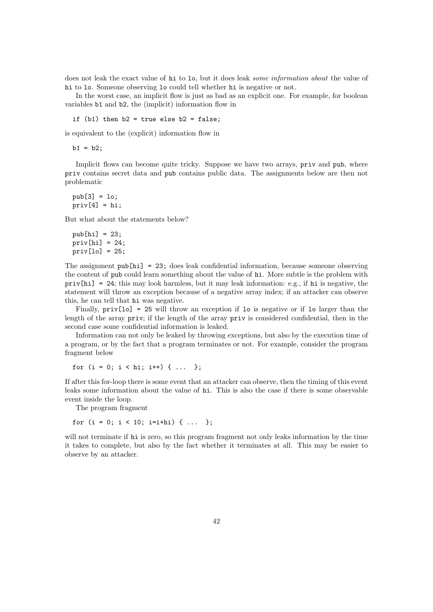does not leak the exact value of hi to lo, but it does leak some information about the value of hi to lo. Someone observing lo could tell whether hi is negative or not.

In the worst case, an implicit flow is just as bad as an explicit one. For example, for boolean variables b1 and b2, the (implicit) information flow in

if  $(b1)$  then  $b2 = true$  else  $b2 = false$ :

is equivalent to the (explicit) information flow in

 $b1 = b2;$ 

Implicit flows can become quite tricky. Suppose we have two arrays,  $\pi i v$  and  $\pi i v$ , where priv contains secret data and pub contains public data. The assignments below are then not problematic

pub[3] = lo;  $priv[4] = hi;$ 

But what about the statements below?

```
pub[hi] = 23;
priv[hi] = 24;priv[lo] = 25;
```
The assignment pub[hi] = 23; does leak confidential information, because someone observing the content of pub could learn something about the value of hi. More subtle is the problem with  $\text{priv}[hi] = 24$ ; this may look harmless, but it may leak information: e.g., if hi is negative, the statement will throw an exception because of a negative array index; if an attacker can observe this, he can tell that hi was negative.

Finally,  $priv[1o] = 25$  will throw an exception if 1o is negative or if 1o larger than the length of the array priv; if the length of the array priv is considered confidential, then in the second case some confidential information is leaked.

Information can not only be leaked by throwing exceptions, but also by the execution time of a program, or by the fact that a program terminates or not. For example, consider the program fragment below

for  $(i = 0; i < hi; i++)$  { ... };

If after this for-loop there is some event that an attacker can observe, then the timing of this event leaks some information about the value of hi. This is also the case if there is some observable event inside the loop.

The program fragment

for  $(i = 0; i < 10; i=i+hi)$  { ... };

will not terminate if hi is zero, so this program fragment not only leaks information by the time it takes to complete, but also by the fact whether it terminates at all. This may be easier to observe by an attacker.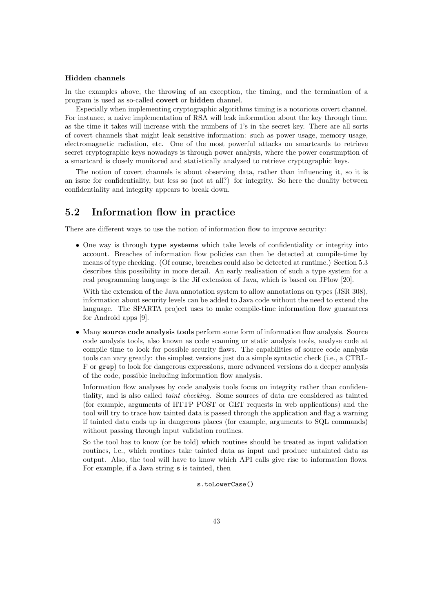### Hidden channels

In the examples above, the throwing of an exception, the timing, and the termination of a program is used as so-called covert or hidden channel.

Especially when implementing cryptographic algorithms timing is a notorious covert channel. For instance, a naive implementation of RSA will leak information about the key through time, as the time it takes will increase with the numbers of 1's in the secret key. There are all sorts of covert channels that might leak sensitive information: such as power usage, memory usage, electromagnetic radiation, etc. One of the most powerful attacks on smartcards to retrieve secret cryptographic keys nowadays is through power analysis, where the power consumption of a smartcard is closely monitored and statistically analysed to retrieve cryptographic keys.

The notion of covert channels is about observing data, rather than influencing it, so it is an issue for confidentiality, but less so (not at all?) for integrity. So here the duality between confidentiality and integrity appears to break down.

# <span id="page-42-0"></span>5.2 Information flow in practice

There are different ways to use the notion of information flow to improve security:

• One way is through **type systems** which take levels of confidentiality or integrity into account. Breaches of information flow policies can then be detected at compile-time by means of type checking. (Of course, breaches could also be detected at runtime.) Section [5.3](#page-44-0) describes this possibility in more detail. An early realisation of such a type system for a real programming language is the Jif extension of Java, which is based on JFlow [\[20\]](#page-50-15).

With the extension of the Java annotation system to allow annotations on types (JSR 308). information about security levels can be added to Java code without the need to extend the language. The SPARTA project uses to make compile-time information flow guarantees for Android apps [\[9\]](#page-49-13).

• Many source code analysis tools perform some form of information flow analysis. Source code analysis tools, also known as code scanning or static analysis tools, analyse code at compile time to look for possible security flaws. The capabilities of source code analysis tools can vary greatly: the simplest versions just do a simple syntactic check (i.e., a CTRL-F or grep) to look for dangerous expressions, more advanced versions do a deeper analysis of the code, possible including information flow analysis.

Information flow analyses by code analysis tools focus on integrity rather than confidentiality, and is also called taint checking. Some sources of data are considered as tainted (for example, arguments of HTTP POST or GET requests in web applications) and the tool will try to trace how tainted data is passed through the application and flag a warning if tainted data ends up in dangerous places (for example, arguments to SQL commands) without passing through input validation routines.

So the tool has to know (or be told) which routines should be treated as input validation routines, i.e., which routines take tainted data as input and produce untainted data as output. Also, the tool will have to know which API calls give rise to information flows. For example, if a Java string s is tainted, then

s.toLowerCase()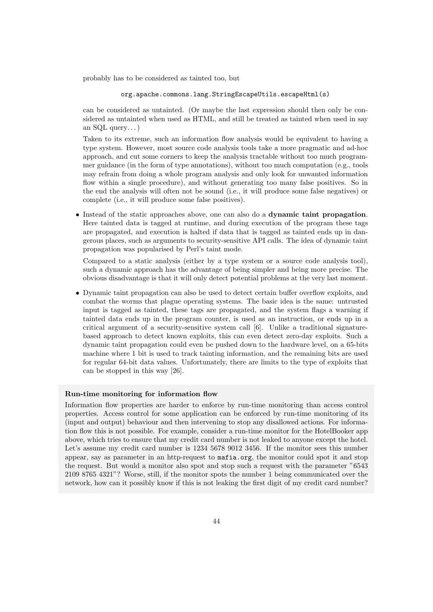probably has to be considered as tainted too, but

org.apache.commons.lang.StringEscapeUtils.escapeHtml(s)

can be considered as untainted. (Or maybe the last expression should then only be considered as untainted when used as HTML, and still be treated as tainted when used in say an SQL query... $)$ 

Taken to its extreme, such an information flow analysis would be equivalent to having a type system. However, most source code analysis tools take a more pragmatic and ad-hoc approach, and cut some corners to keep the analysis tractable without too much programmer guidance (in the form of type annotations), without too much computation (e.g., tools may refrain from doing a whole program analysis and only look for unwanted information flow within a single procedure), and without generating too many false positives. So in the end the analysis will often not be sound (i.e., it will produce some false negatives) or complete (i.e., it will produce some false positives).

• Instead of the static approaches above, one can also do a dynamic taint propagation. Here tainted data is tagged at runtime, and during execution of the program these tags are propagated, and execution is halted if data that is tagged as tainted ends up in dangerous places, such as arguments to security-sensitive API calls. The idea of dynamic taint propagation was popularised by Perl's taint mode.

Compared to a static analysis (either by a type system or a source code analysis tool), such a dynamic approach has the advantage of being simpler and being more precise. The obvious disadvantage is that it will only detect potential problems at the very last moment.

• Dynamic taint propagation can also be used to detect certain buffer overflow exploits, and combat the worms that plague operating systems. The basic idea is the same: untrusted input is tagged as tainted, these tags are propagated, and the system flags a warning if tainted data ends up in the program counter, is used as an instruction, or ends up in a critical argument of a security-sensitive system call [\[6\]](#page-49-14). Unlike a traditional signaturebased approach to detect known exploits, this can even detect zero-day exploits. Such a dynamic taint propagation could even be pushed down to the hardware level, on a 65-bits machine where 1 bit is used to track tainting information, and the remaining bits are used for regular 64-bit data values. Unfortunately, there are limits to the type of exploits that can be stopped in this way [\[26\]](#page-50-16).

### Run-time monitoring for information flow

Information flow properties are harder to enforce by run-time monitoring than access control properties. Access control for some application can be enforced by run-time monitoring of its (input and output) behaviour and then intervening to stop any disallowed actions. For information flow this is not possible. For example, consider a run-time monitor for the HotelBooker app above, which tries to ensure that my credit card number is not leaked to anyone except the hotel. Let's assume my credit card number is 1234 5678 9012 3456. If the monitor sees this number appear, say as parameter in an http-request to <mafia.org>, the monitor could spot it and stop the request. But would a monitor also spot and stop such a request with the parameter "6543 2109 8765 4321"? Worse, still, if the monitor spots the number 1 being communicated over the network, how can it possibly know if this is not leaking the first digit of my credit card number?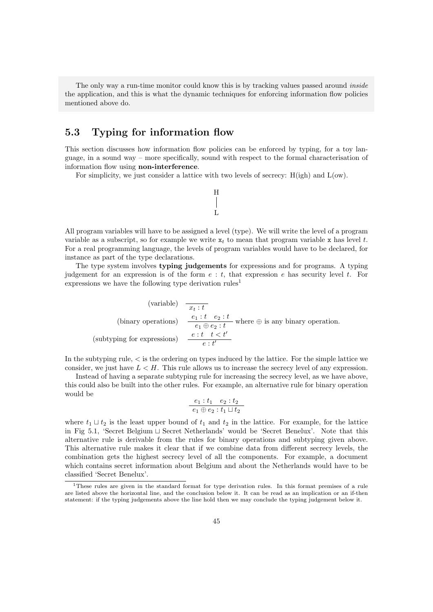The only way a run-time monitor could know this is by tracking values passed around *inside* the application, and this is what the dynamic techniques for enforcing information flow policies mentioned above do.

# <span id="page-44-0"></span>5.3 Typing for information flow

This section discusses how information flow policies can be enforced by typing, for a toy language, in a sound way – more specifically, sound with respect to the formal characterisation of information flow using non-interference.

H

 $\mathbf{L}$ 

For simplicity, we just consider a lattice with two levels of secrecy:  $H(igh)$  and  $L(ow)$ .

All program variables will have to be assigned a level (type). We will write the level of a program variable as a subscript, so for example we write  $x_t$  to mean that program variable x has level t. For a real programming language, the levels of program variables would have to be declared, for instance as part of the type declarations.

The type system involves typing judgements for expressions and for programs. A typing judgement for an expression is of the form  $e : t$ , that expression e has security level t. For expressions we have the following type derivation rules<sup>[1](#page-44-1)</sup>

(variable)

\n
$$
\frac{x_t : t}{x_t : t}
$$
\n(binary operations)

\n
$$
\frac{e_1 : t \quad e_2 : t}{e_1 \oplus e_2 : t}
$$
\nwhere  $\oplus$  is any binary operation.

\n(subtyping for expressions)

\n
$$
\frac{e : t \quad t < t'}{e : t'}
$$

In the subtyping rule,  $\lt$  is the ordering on types induced by the lattice. For the simple lattice we consider, we just have  $L < H$ . This rule allows us to increase the secrecy level of any expression.

Instead of having a separate subtyping rule for increasing the secrecy level, as we have above, this could also be built into the other rules. For example, an alternative rule for binary operation would be

$$
\frac{e_1 : t_1 \quad e_2 : t_2}{e_1 \oplus e_2 : t_1 \sqcup t_2}
$$

where  $t_1 \sqcup t_2$  is the least upper bound of  $t_1$  and  $t_2$  in the lattice. For example, for the lattice in Fig [5.1,](#page-40-1) 'Secret Belgium  $\sqcup$  Secret Netherlands' would be 'Secret Benelux'. Note that this alternative rule is derivable from the rules for binary operations and subtyping given above. This alternative rule makes it clear that if we combine data from different secrecy levels, the combination gets the highest secrecy level of all the components. For example, a document which contains secret information about Belgium and about the Netherlands would have to be classified 'Secret Benelux'.

<span id="page-44-1"></span><sup>1</sup>These rules are given in the standard format for type derivation rules. In this format premises of a rule are listed above the horizontal line, and the conclusion below it. It can be read as an implication or an if-then statement: if the typing judgements above the line hold then we may conclude the typing judgement below it.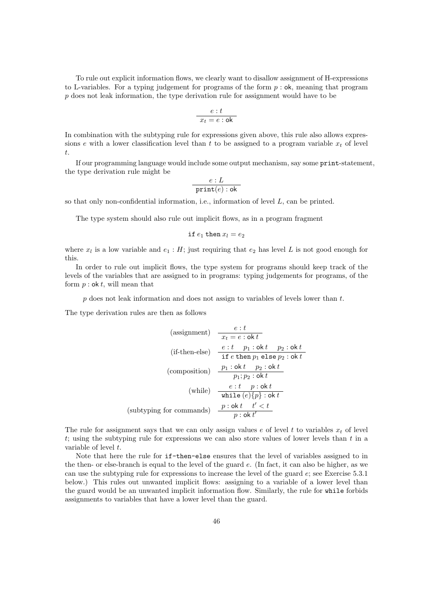To rule out explicit information flows, we clearly want to disallow assignment of H-expressions to L-variables. For a typing judgement for programs of the form  $p : \mathsf{ok}$ , meaning that program p does not leak information, the type derivation rule for assignment would have to be

$$
\frac{e:t}{x_t=e:\mathsf{ok}}
$$

In combination with the subtyping rule for expressions given above, this rule also allows expressions e with a lower classification level than t to be assigned to a program variable  $x_t$  of level t.

If our programming language would include some output mechanism, say some print-statement, the type derivation rule might be

$$
\frac{e:L}{\texttt{print}(e): \texttt{ok}}
$$

so that only non-confidential information, i.e., information of level  $L$ , can be printed.

The type system should also rule out implicit flows, as in a program fragment

$$
\mathtt{if}\ e_1\ \mathtt{then}\ x_l=e_2
$$

where  $x_l$  is a low variable and  $e_1 : H$ ; just requiring that  $e_2$  has level L is not good enough for this.

In order to rule out implicit flows, the type system for programs should keep track of the levels of the variables that are assigned to in programs: typing judgements for programs, of the form  $p : \mathsf{ok}\,t$ , will mean that

 $p$  does not leak information and does not assign to variables of levels lower than  $t$ .

The type derivation rules are then as follows

(assignment) 
$$
\frac{e:t}{x_t = e : \text{ok } t}
$$
  
\n(if-then-else) 
$$
\frac{e:t}{\text{if } e \text{ then } p_1 \text{ else } p_2 : \text{ok } t}
$$
  
\n(composition) 
$$
\frac{p_1 : \text{ok } t}{p_1; p_2 : \text{ok } t}
$$
  
\n(while) 
$$
\frac{e:t}{p_1; p_2 : \text{ok } t}
$$
  
\n(subtyping for commands) 
$$
\frac{p : \text{ok } t \quad t' < t}{p : \text{ok } t'}
$$

The rule for assignment says that we can only assign values e of level t to variables  $x_t$  of level t; using the subtyping rule for expressions we can also store values of lower levels than  $t$  in a variable of level  $t$ .

Note that here the rule for if-then-else ensures that the level of variables assigned to in the then- or else-branch is equal to the level of the guard  $e$ . (In fact, it can also be higher, as we can use the subtyping rule for expressions to increase the level of the guard e; see Exercise [5.3.1](#page-47-0) below.) This rules out unwanted implicit flows: assigning to a variable of a lower level than the guard would be an unwanted implicit information flow. Similarly, the rule for while forbids assignments to variables that have a lower level than the guard.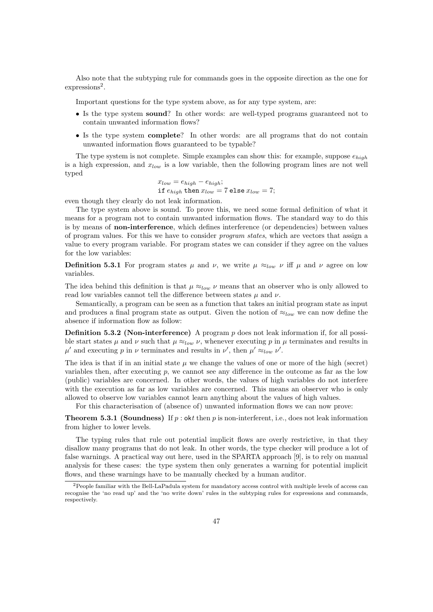Also note that the subtyping rule for commands goes in the opposite direction as the one for expressions<sup>[2](#page-46-0)</sup>.

Important questions for the type system above, as for any type system, are:

- Is the type system sound? In other words: are well-typed programs guaranteed not to contain unwanted information flows?
- Is the type system complete? In other words: are all programs that do not contain unwanted information flows guaranteed to be typable?

The type system is not complete. Simple examples can show this: for example, suppose  $e_{high}$ is a high expression, and  $x_{low}$  is a low variable, then the following program lines are not well typed

$$
x_{low} = e_{high} - e_{high};
$$
  
if  $e_{high}$  then  $x_{low} = 7$  else  $x_{low} = 7$ ;

even though they clearly do not leak information.

The type system above is sound. To prove this, we need some formal definition of what it means for a program not to contain unwanted information flows. The standard way to do this is by means of non-interference, which defines interference (or dependencies) between values of program values. For this we have to consider program states, which are vectors that assign a value to every program variable. For program states we can consider if they agree on the values for the low variables:

**Definition 5.3.1** For program states  $\mu$  and  $\nu$ , we write  $\mu \approx_{low} \nu$  iff  $\mu$  and  $\nu$  agree on low variables.

The idea behind this definition is that  $\mu \approx_{low} \nu$  means that an observer who is only allowed to read low variables cannot tell the difference between states  $\mu$  and  $\nu$ .

Semantically, a program can be seen as a function that takes an initial program state as input and produces a final program state as output. Given the notion of  $\approx_{low}$  we can now define the absence if information flow as follow:

**Definition 5.3.2 (Non-interference)** A program  $p$  does not leak information if, for all possible start states  $\mu$  and  $\nu$  such that  $\mu \approx_{low} \nu$ , whenever executing p in  $\mu$  terminates and results in  $\mu'$  and executing p in  $\nu$  terminates and results in  $\nu'$ , then  $\mu' \approx_{low} \nu'$ .

The idea is that if in an initial state  $\mu$  we change the values of one or more of the high (secret) variables then, after executing  $p$ , we cannot see any difference in the outcome as far as the low (public) variables are concerned. In other words, the values of high variables do not interfere with the execution as far as low variables are concerned. This means an observer who is only allowed to observe low variables cannot learn anything about the values of high values.

For this characterisation of (absence of) unwanted information flows we can now prove:

**Theorem 5.3.1 (Soundness)** If p : okt then p is non-interferent, i.e., does not leak information from higher to lower levels.

The typing rules that rule out potential implicit flows are overly restrictive, in that they disallow many programs that do not leak. In other words, the type checker will produce a lot of false warnings. A practical way out here, used in the SPARTA approach [\[9\]](#page-49-13), is to rely on manual analysis for these cases: the type system then only generates a warning for potential implicit flows, and these warnings have to be manually checked by a human auditor.

<span id="page-46-0"></span><sup>&</sup>lt;sup>2</sup>People familiar with the Bell-LaPadula system for mandatory access control with multiple levels of access can recognise the 'no read up' and the 'no write down' rules in the subtyping rules for expressions and commands, respectively.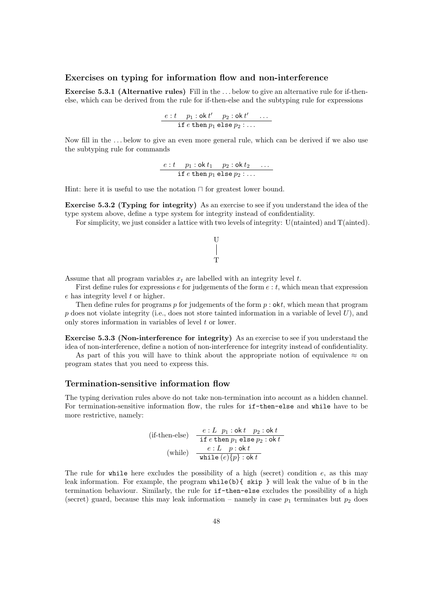### Exercises on typing for information flow and non-interference

<span id="page-47-0"></span>Exercise 5.3.1 (Alternative rules) Fill in the . . . below to give an alternative rule for if-thenelse, which can be derived from the rule for if-then-else and the subtyping rule for expressions

$$
\frac{e:t-p_1:\mathsf{ok}\,t'-p_2:\mathsf{ok}\,t'-\dots}{\texttt{if}\,e\,\texttt{then}\,p_1\,\texttt{else}\,p_2:\dots}
$$

Now fill in the . . . below to give an even more general rule, which can be derived if we also use the subtyping rule for commands

$$
\frac{e:t-p_1:\mathsf{ok}\,t_1-p_2:\mathsf{ok}\,t_2\quad \ldots}{\texttt{if}\,e\,\texttt{then}\,p_1\,\texttt{else}\,p_2:\ldots}
$$

Hint: here it is useful to use the notation  $\Box$  for greatest lower bound.

Exercise 5.3.2 (Typing for integrity) As an exercise to see if you understand the idea of the type system above, define a type system for integrity instead of confidentiality.

For simplicity, we just consider a lattice with two levels of integrity: U(ntainted) and T(ainted).



Assume that all program variables  $x_t$  are labelled with an integrity level t.

First define rules for expressions  $e$  for judgements of the form  $e : t$ , which mean that expression e has integrity level t or higher.

Then define rules for programs  $p$  for judgements of the form  $p : \textbf{ok}t$ , which mean that program p does not violate integrity (i.e., does not store tainted information in a variable of level  $U$ ), and only stores information in variables of level  $t$  or lower.

Exercise 5.3.3 (Non-interference for integrity) As an exercise to see if you understand the idea of non-interference, define a notion of non-interference for integrity instead of confidentiality.

As part of this you will have to think about the appropriate notion of equivalence  $\approx$  on program states that you need to express this.

### Termination-sensitive information flow

The typing derivation rules above do not take non-termination into account as a hidden channel. For termination-sensitive information flow, the rules for if-then-else and while have to be more restrictive, namely:

(if-then-else) 
$$
\frac{e: L \ p_1: \text{ok } t \ p_2: \text{ok } t}{\text{if } e \text{ then } p_1 \text{ else } p_2: \text{ok } t}
$$
  
(while) 
$$
\frac{e: L \ p: \text{ok } t}{\text{while } (e)\{p\}: \text{ok } t}
$$

The rule for while here excludes the possibility of a high (secret) condition  $e$ , as this may leak information. For example, the program while(b){ skip } will leak the value of b in the termination behaviour. Similarly, the rule for if-then-else excludes the possibility of a high (secret) guard, because this may leak information – namely in case  $p_1$  terminates but  $p_2$  does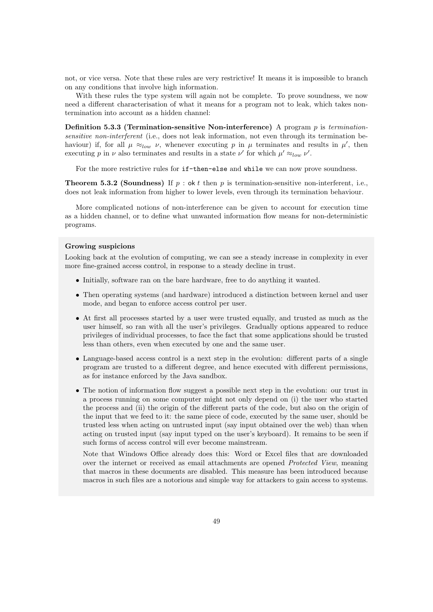not, or vice versa. Note that these rules are very restrictive! It means it is impossible to branch on any conditions that involve high information.

With these rules the type system will again not be complete. To prove soundness, we now need a different characterisation of what it means for a program not to leak, which takes nontermination into account as a hidden channel:

**Definition 5.3.3 (Termination-sensitive Non-interference)** A program  $p$  is terminationsensitive non-interferent (i.e., does not leak information, not even through its termination behaviour) if, for all  $\mu \approx_{low} \nu$ , whenever executing p in  $\mu$  terminates and results in  $\mu'$ , then executing p in  $\nu$  also terminates and results in a state  $\nu'$  for which  $\mu' \approx_{low} \nu'$ .

For the more restrictive rules for if-then-else and while we can now prove soundness.

**Theorem 5.3.2 (Soundness)** If  $p : \text{ok } t$  then p is termination-sensitive non-interferent, i.e., does not leak information from higher to lower levels, even through its termination behaviour.

More complicated notions of non-interference can be given to account for execution time as a hidden channel, or to define what unwanted information flow means for non-deterministic programs.

### Growing suspicions

Looking back at the evolution of computing, we can see a steady increase in complexity in ever more fine-grained access control, in response to a steady decline in trust.

- Initially, software ran on the bare hardware, free to do anything it wanted.
- Then operating systems (and hardware) introduced a distinction between kernel and user mode, and began to enforce access control per user.
- At first all processes started by a user were trusted equally, and trusted as much as the user himself, so ran with all the user's privileges. Gradually options appeared to reduce privileges of individual processes, to face the fact that some applications should be trusted less than others, even when executed by one and the same user.
- Language-based access control is a next step in the evolution: different parts of a single program are trusted to a different degree, and hence executed with different permissions, as for instance enforced by the Java sandbox.
- The notion of information flow suggest a possible next step in the evolution: our trust in a process running on some computer might not only depend on (i) the user who started the process and (ii) the origin of the different parts of the code, but also on the origin of the input that we feed to it: the same piece of code, executed by the same user, should be trusted less when acting on untrusted input (say input obtained over the web) than when acting on trusted input (say input typed on the user's keyboard). It remains to be seen if such forms of access control will ever become mainstream.

Note that Windows Office already does this: Word or Excel files that are downloaded over the internet or received as email attachments are opened Protected View, meaning that macros in these documents are disabled. This measure has been introduced because macros in such files are a notorious and simple way for attackers to gain access to systems.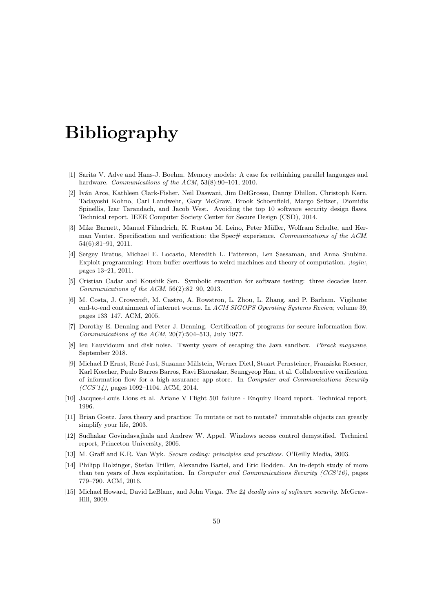# Bibliography

- <span id="page-49-8"></span>[1] Sarita V. Adve and Hans-J. Boehm. Memory models: A case for rethinking parallel languages and hardware. Communications of the ACM, 53(8):90-101, 2010.
- <span id="page-49-2"></span>[2] Iván Arce, Kathleen Clark-Fisher, Neil Daswani, Jim DelGrosso, Danny Dhillon, Christoph Kern, Tadayoshi Kohno, Carl Landwehr, Gary McGraw, Brook Schoenfield, Margo Seltzer, Diomidis Spinellis, Izar Tarandach, and Jacob West. Avoiding the top 10 software security design flaws. Technical report, IEEE Computer Society Center for Secure Design (CSD), 2014.
- <span id="page-49-6"></span>[3] Mike Barnett, Manuel Fähndrich, K. Rustan M. Leino, Peter Müller, Wolfram Schulte, and Herman Venter. Specification and verification: the Spec# experience. Communications of the ACM, 54(6):81–91, 2011.
- <span id="page-49-5"></span>[4] Sergey Bratus, Michael E. Locasto, Meredith L. Patterson, Len Sassaman, and Anna Shubina. Exploit programming: From buffer overflows to weird machines and theory of computation. ;login:, pages 13–21, 2011.
- <span id="page-49-0"></span>[5] Cristian Cadar and Koushik Sen. Symbolic execution for software testing: three decades later. Communications of the ACM, 56(2):82–90, 2013.
- <span id="page-49-14"></span>[6] M. Costa, J. Crowcroft, M. Castro, A. Rowstron, L. Zhou, L. Zhang, and P. Barham. Vigilante: end-to-end containment of internet worms. In ACM SIGOPS Operating Systems Review, volume 39, pages 133–147. ACM, 2005.
- <span id="page-49-12"></span>[7] Dorothy E. Denning and Peter J. Denning. Certification of programs for secure information flow. Communications of the ACM, 20(7):504–513, July 1977.
- <span id="page-49-11"></span>[8] Ieu Eauvidoum and disk noise. Twenty years of escaping the Java sandbox. Phrack magazine, September 2018.
- <span id="page-49-13"></span>[9] Michael D Ernst, Ren´e Just, Suzanne Millstein, Werner Dietl, Stuart Pernsteiner, Franziska Roesner, Karl Koscher, Paulo Barros Barros, Ravi Bhoraskar, Seungyeop Han, et al. Collaborative verification of information flow for a high-assurance app store. In Computer and Communications Security (CCS'14), pages 1092–1104. ACM, 2014.
- <span id="page-49-7"></span>[10] Jacques-Louis Lions et al. Ariane V Flight 501 failure - Enquiry Board report. Technical report, 1996.
- <span id="page-49-9"></span>[11] Brian Goetz. Java theory and practice: To mutate or not to mutate? immutable objects can greatly simplify your life, 2003.
- <span id="page-49-4"></span>[12] Sudhakar Govindavajhala and Andrew W. Appel. Windows access control demystified. Technical report, Princeton University, 2006.
- <span id="page-49-3"></span>[13] M. Graff and K.R. Van Wyk. Secure coding: principles and practices. O'Reilly Media, 2003.
- <span id="page-49-10"></span>[14] Philipp Holzinger, Stefan Triller, Alexandre Bartel, and Eric Bodden. An in-depth study of more than ten years of Java exploitation. In Computer and Communications Security (CCS'16), pages 779–790. ACM, 2016.
- <span id="page-49-1"></span>[15] Michael Howard, David LeBlanc, and John Viega. The 24 deadly sins of software security. McGraw-Hill, 2009.